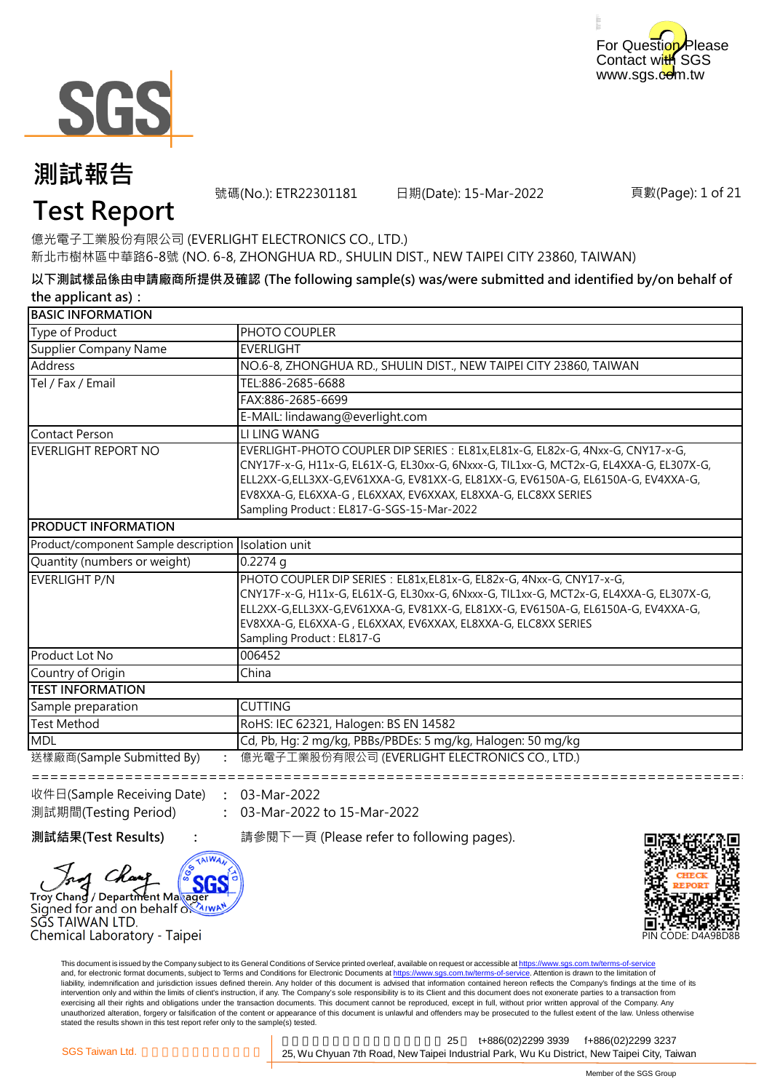



號碼(No.): ETR22301181 日期(Date): 15-Mar-2022

頁數(Page): 1 of 21

## **Test Report**

億光電子工業股份有限公司 (EVERLIGHT ELECTRONICS CO., LTD.) 新北市樹林區中華路6-8號 (NO. 6-8, ZHONGHUA RD., SHULIN DIST., NEW TAIPEI CITY 23860, TAIWAN)

**以下測試樣品係由申請廠商所提供及確認 (The following sample(s) was/were submitted and identified by/on behalf of the applicant as):**

| PHOTO COUPLER<br><b>EVERLIGHT</b><br>NO.6-8, ZHONGHUA RD., SHULIN DIST., NEW TAIPEI CITY 23860, TAIWAN<br>TEL:886-2685-6688<br>FAX:886-2685-6699<br>E-MAIL: lindawang@everlight.com<br>LI LING WANG<br>EVERLIGHT-PHOTO COUPLER DIP SERIES : EL81x, EL81x-G, EL82x-G, 4Nxx-G, CNY17-x-G,<br>CNY17F-x-G, H11x-G, EL61X-G, EL30xx-G, 6Nxxx-G, TIL1xx-G, MCT2x-G, EL4XXA-G, EL307X-G,<br>ELL2XX-G,ELL3XX-G,EV61XXA-G, EV81XX-G, EL81XX-G, EV6150A-G, EL6150A-G, EV4XXA-G,<br>EV8XXA-G, EL6XXA-G, EL6XXAX, EV6XXAX, EL8XXA-G, ELC8XX SERIES<br>Sampling Product: EL817-G-SGS-15-Mar-2022<br>Isolation unit<br>$0.2274$ q<br>PHOTO COUPLER DIP SERIES : EL81x, EL81x-G, EL82x-G, 4Nxx-G, CNY17-x-G,<br>CNY17F-x-G, H11x-G, EL61X-G, EL30xx-G, 6Nxxx-G, TIL1xx-G, MCT2x-G, EL4XXA-G, EL307X-G,<br>ELL2XX-G,ELL3XX-G,EV61XXA-G, EV81XX-G, EL81XX-G, EV6150A-G, EL6150A-G, EV4XXA-G,<br>EV8XXA-G, EL6XXA-G, EL6XXAX, EV6XXAX, EL8XXA-G, ELC8XX SERIES<br>Sampling Product: EL817-G<br>006452<br>China<br><b>CUTTING</b><br>RoHS: IEC 62321, Halogen: BS EN 14582<br>Cd, Pb, Hg: 2 mg/kg, PBBs/PBDEs: 5 mg/kg, Halogen: 50 mg/kg<br>億光電子工業股份有限公司 (EVERLIGHT ELECTRONICS CO., LTD.) | <b>BASIC INFORMATION</b>             |  |
|--------------------------------------------------------------------------------------------------------------------------------------------------------------------------------------------------------------------------------------------------------------------------------------------------------------------------------------------------------------------------------------------------------------------------------------------------------------------------------------------------------------------------------------------------------------------------------------------------------------------------------------------------------------------------------------------------------------------------------------------------------------------------------------------------------------------------------------------------------------------------------------------------------------------------------------------------------------------------------------------------------------------------------------------------------------------------------------------------------------------------------------------------------------------------|--------------------------------------|--|
|                                                                                                                                                                                                                                                                                                                                                                                                                                                                                                                                                                                                                                                                                                                                                                                                                                                                                                                                                                                                                                                                                                                                                                          | Type of Product                      |  |
|                                                                                                                                                                                                                                                                                                                                                                                                                                                                                                                                                                                                                                                                                                                                                                                                                                                                                                                                                                                                                                                                                                                                                                          | Supplier Company Name                |  |
|                                                                                                                                                                                                                                                                                                                                                                                                                                                                                                                                                                                                                                                                                                                                                                                                                                                                                                                                                                                                                                                                                                                                                                          | <b>Address</b>                       |  |
|                                                                                                                                                                                                                                                                                                                                                                                                                                                                                                                                                                                                                                                                                                                                                                                                                                                                                                                                                                                                                                                                                                                                                                          | Tel / Fax / Email                    |  |
|                                                                                                                                                                                                                                                                                                                                                                                                                                                                                                                                                                                                                                                                                                                                                                                                                                                                                                                                                                                                                                                                                                                                                                          |                                      |  |
|                                                                                                                                                                                                                                                                                                                                                                                                                                                                                                                                                                                                                                                                                                                                                                                                                                                                                                                                                                                                                                                                                                                                                                          |                                      |  |
|                                                                                                                                                                                                                                                                                                                                                                                                                                                                                                                                                                                                                                                                                                                                                                                                                                                                                                                                                                                                                                                                                                                                                                          | Contact Person                       |  |
|                                                                                                                                                                                                                                                                                                                                                                                                                                                                                                                                                                                                                                                                                                                                                                                                                                                                                                                                                                                                                                                                                                                                                                          | <b>EVERLIGHT REPORT NO</b>           |  |
|                                                                                                                                                                                                                                                                                                                                                                                                                                                                                                                                                                                                                                                                                                                                                                                                                                                                                                                                                                                                                                                                                                                                                                          | <b>PRODUCT INFORMATION</b>           |  |
|                                                                                                                                                                                                                                                                                                                                                                                                                                                                                                                                                                                                                                                                                                                                                                                                                                                                                                                                                                                                                                                                                                                                                                          | Product/component Sample description |  |
|                                                                                                                                                                                                                                                                                                                                                                                                                                                                                                                                                                                                                                                                                                                                                                                                                                                                                                                                                                                                                                                                                                                                                                          | Quantity (numbers or weight)         |  |
|                                                                                                                                                                                                                                                                                                                                                                                                                                                                                                                                                                                                                                                                                                                                                                                                                                                                                                                                                                                                                                                                                                                                                                          | <b>EVERLIGHT P/N</b>                 |  |
|                                                                                                                                                                                                                                                                                                                                                                                                                                                                                                                                                                                                                                                                                                                                                                                                                                                                                                                                                                                                                                                                                                                                                                          | Product Lot No                       |  |
|                                                                                                                                                                                                                                                                                                                                                                                                                                                                                                                                                                                                                                                                                                                                                                                                                                                                                                                                                                                                                                                                                                                                                                          | Country of Origin                    |  |
|                                                                                                                                                                                                                                                                                                                                                                                                                                                                                                                                                                                                                                                                                                                                                                                                                                                                                                                                                                                                                                                                                                                                                                          | <b>TEST INFORMATION</b>              |  |
|                                                                                                                                                                                                                                                                                                                                                                                                                                                                                                                                                                                                                                                                                                                                                                                                                                                                                                                                                                                                                                                                                                                                                                          | Sample preparation                   |  |
|                                                                                                                                                                                                                                                                                                                                                                                                                                                                                                                                                                                                                                                                                                                                                                                                                                                                                                                                                                                                                                                                                                                                                                          | <b>Test Method</b>                   |  |
|                                                                                                                                                                                                                                                                                                                                                                                                                                                                                                                                                                                                                                                                                                                                                                                                                                                                                                                                                                                                                                                                                                                                                                          | <b>MDL</b>                           |  |
|                                                                                                                                                                                                                                                                                                                                                                                                                                                                                                                                                                                                                                                                                                                                                                                                                                                                                                                                                                                                                                                                                                                                                                          | 送樣廠商(Sample Submitted By)            |  |

收件日(Sample Receiving Date) 測試期間(Testing Period)

Troy Chang / Department Maxager Signed for and on behalf of AIWAN

Chemical Laboratory - Taipei

563

**:** 03-Mar-2022 **:** 03-Mar-2022 to 15-Mar-2022

SGS TAIWAN LTD.

**測試結果(Test Results) :** 請參閱下一頁 (Please refer to following pages).



This document is issued by the Company subject to its General Conditions of Service printed overleaf, available on request or accessible at https://www.sgs.com.tw/terms-of-service and, for electronic format documents, subject to Terms and Conditions for Electronic Documents at https://www.sgs.com.tw/terms-of-service. Attention is drawn to the limitation of liability, indemnification and jurisdiction issues defined therein. Any holder of this document is advised that information contained hereon reflects the Company's findings at the time of its intervention only and within the limits of client's instruction, if any. The Company's sole responsibility is to its Client and this document does not exonerate parties to a transaction from exercising all their rights and obligations under the transaction documents. This document cannot be reproduced, except in full, without prior written approval of the Company. Any<br>unauthorized alteration, forgery or falsif stated the results shown in this test report refer only to the sample(s) tested.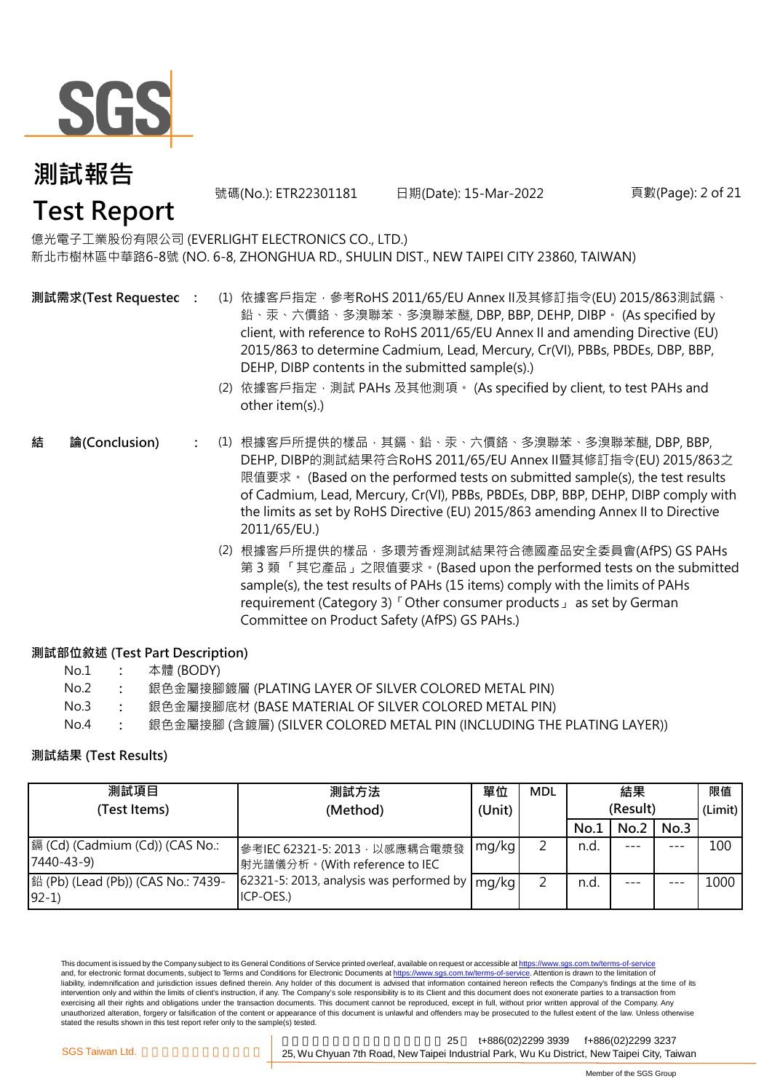

號碼(No.): ETR22301181 日期(Date): 15-Mar-2022 頁數(Page): 2 of 21

億光電子工業股份有限公司 (EVERLIGHT ELECTRONICS CO., LTD.) 新北市樹林區中華路6-8號 (NO. 6-8, ZHONGHUA RD., SHULIN DIST., NEW TAIPEI CITY 23860, TAIWAN)

**測試需求(Test Requested)**

- **:** (1) 依據客戶指定,參考RoHS 2011/65/EU Annex II及其修訂指令(EU) 2015/863測試鎘、 鉛、汞、六價鉻、多溴聯苯、多溴聯苯醚, DBP, BBP, DEHP, DIBP。 (As specified by client, with reference to RoHS 2011/65/EU Annex II and amending Directive (EU) 2015/863 to determine Cadmium, Lead, Mercury, Cr(VI), PBBs, PBDEs, DBP, BBP, DEHP, DIBP contents in the submitted sample(s).)
	- (2) 依據客戶指定,測試 PAHs 及其他測項。 (As specified by client, to test PAHs and other item(s).)
- **:** (1) 根據客戶所提供的樣品,其鎘、鉛、汞、六價鉻、多溴聯苯、多溴聯苯醚, DBP, BBP, **結 論(Conclusion)** DEHP, DIBP的測試結果符合RoHS 2011/65/EU Annex II暨其修訂指令(EU) 2015/863之 限值要求。 (Based on the performed tests on submitted sample(s), the test results of Cadmium, Lead, Mercury, Cr(VI), PBBs, PBDEs, DBP, BBP, DEHP, DIBP comply with the limits as set by RoHS Directive (EU) 2015/863 amending Annex II to Directive 2011/65/EU.)
	- (2) 根據客戶所提供的樣品,多環芳香烴測試結果符合德國產品安全委員會(AfPS) GS PAHs 第 3 類 「其它產品」之限值要求。(Based upon the performed tests on the submitted sample(s), the test results of PAHs (15 items) comply with the limits of PAHs requirement (Category 3)「Other consumer products」 as set by German Committee on Product Safety (AfPS) GS PAHs.)

#### **測試部位敘述 (Test Part Description)**

- No.2 **:** 銀色金屬接腳鍍層 (PLATING LAYER OF SILVER COLORED METAL PIN)
- No.3 **:** 銀色金屬接腳底材 (BASE MATERIAL OF SILVER COLORED METAL PIN)
- No.4 **:** 銀色金屬接腳 (含鍍層) (SILVER COLORED METAL PIN (INCLUDING THE PLATING LAYER))

#### **測試結果 (Test Results)**

| 測試項目                                          | 測試方法                                                                            | 單位     | <b>MDL</b> |          | 結果   |      | 限值      |
|-----------------------------------------------|---------------------------------------------------------------------------------|--------|------------|----------|------|------|---------|
| (Test Items)                                  | (Method)                                                                        | (Unit) |            | (Result) |      |      | (Limit) |
|                                               |                                                                                 |        |            | No.1     | No.2 | No.3 |         |
| 鎘 (Cd) (Cadmium (Cd)) (CAS No.:<br>7440-43-9) | 參考IEC 62321-5: 2013, 以感應耦合電漿發<br> 射光譜儀分析。(With reference to IEC                 | mg/kg  |            | n.d.     |      | ---  | 100     |
| [鉛 (Pb) (Lead (Pb)) (CAS No.: 7439-<br>$92-1$ | 62321-5: 2013, analysis was performed by $\lfloor$ mg/kg $\rfloor$<br>ICP-OES.) |        |            | n.d.     |      |      | 1000    |

This document is issued by the Company subject to its General Conditions of Service printed overleaf, available on request or accessible at https://www.sgs.com.tw/terms-of-service and, for electronic format documents, subject to Terms and Conditions for Electronic Documents at https://www.sgs.com.tw/terms-of-service. Attention is drawn to the limitation of liability, indemnification and jurisdiction issues defined therein. Any holder of this document is advised that information contained hereon reflects the Company's findings at the time of its intervention only and within the limits of client's instruction, if any. The Company's sole responsibility is to its Client and this document does not exonerate parties to a transaction from exercising all their rights and obligations under the transaction documents. This document cannot be reproduced, except in full, without prior written approval of the Company. Any unauthorized alteration, forgery or falsification of the content or appearance of this document is unlawful and offenders may be prosecuted to the fullest extent of the law. Unless otherwise stated the results shown in this test report refer only to the sample(s) tested.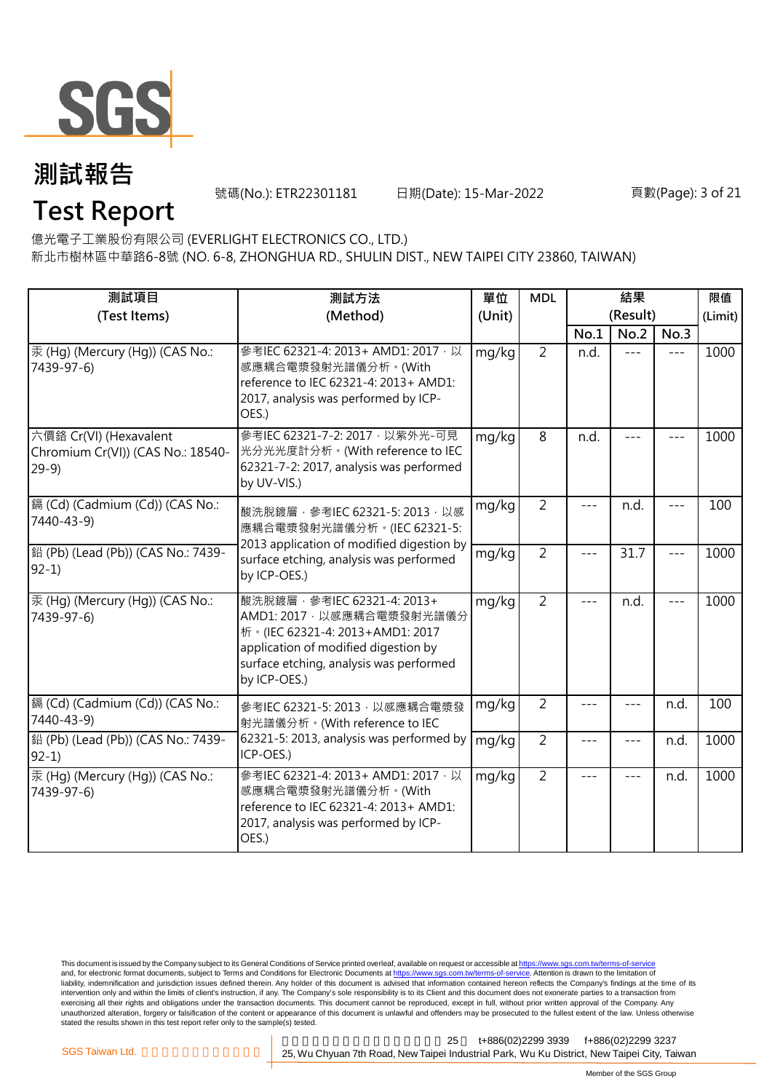

號碼(No.): ETR22301181 日期(Date): 15-Mar-2022 頁數(Page): 3 of 21

**Test Report**

億光電子工業股份有限公司 (EVERLIGHT ELECTRONICS CO., LTD.)

新北市樹林區中華路6-8號 (NO. 6-8, ZHONGHUA RD., SHULIN DIST., NEW TAIPEI CITY 23860, TAIWAN)

| 測試項目<br>(Test Items)                                                  | 測試方法<br>單位<br>(Method)<br>(Unit)                                                                                                                                                                  |       | <b>MDL</b>     |       | (Result) | 限值<br>(Limit) |      |
|-----------------------------------------------------------------------|---------------------------------------------------------------------------------------------------------------------------------------------------------------------------------------------------|-------|----------------|-------|----------|---------------|------|
|                                                                       |                                                                                                                                                                                                   |       |                | No.1  | No.2     | No.3          |      |
| 汞 (Hg) (Mercury (Hg)) (CAS No.:<br>7439-97-6)                         | 參考IEC 62321-4: 2013+ AMD1: 2017, 以<br>感應耦合電漿發射光譜儀分析。(With<br>reference to IEC 62321-4: 2013+ AMD1:<br>2017, analysis was performed by ICP-<br>OES.)                                               | mg/kg | $\overline{2}$ | n.d.  | $- - -$  | $---$         | 1000 |
| 六價鉻 Cr(VI) (Hexavalent<br>Chromium Cr(VI)) (CAS No.: 18540-<br>$29-9$ | 參考IEC 62321-7-2: 2017 · 以紫外光-可見<br>光分光光度計分析。(With reference to IEC<br>62321-7-2: 2017, analysis was performed<br>by UV-VIS.)                                                                      | mg/kg | 8              | n.d.  |          |               | 1000 |
| [鎘 (Cd) (Cadmium (Cd)) (CAS No.:<br>7440-43-9)                        | 酸洗脫鍍層, 參考IEC 62321-5: 2013, 以感<br>應耦合電漿發射光譜儀分析。(IEC 62321-5:<br>2013 application of modified digestion by                                                                                         | mg/kg | $\overline{2}$ |       | n.d.     | $---$         | 100  |
| 鉛 (Pb) (Lead (Pb)) (CAS No.: 7439-<br>$92-1)$                         | surface etching, analysis was performed<br>by ICP-OES.)                                                                                                                                           | mg/kg | $\overline{2}$ | $---$ | 31.7     | $- - -$       | 1000 |
| 汞 (Hg) (Mercury (Hg)) (CAS No.:<br>7439-97-6)                         | 酸洗脫鍍層, 參考IEC 62321-4: 2013+<br>AMD1: 2017 · 以感應耦合電漿發射光譜儀分<br>析 · (IEC 62321-4: 2013+AMD1: 2017<br>application of modified digestion by<br>surface etching, analysis was performed<br>by ICP-OES.) | mg/kg | $\overline{2}$ | $---$ | n.d.     | $---$         | 1000 |
| [鎘 (Cd) (Cadmium (Cd)) (CAS No.:<br>7440-43-9)                        | 參考IEC 62321-5: 2013, 以感應耦合電漿發<br>射光譜儀分析。(With reference to IEC                                                                                                                                    | mg/kg | $\overline{2}$ | ---   |          | n.d.          | 100  |
| 鉛 (Pb) (Lead (Pb)) (CAS No.: 7439-<br>$92-1$                          | 62321-5: 2013, analysis was performed by<br>ICP-OES.)                                                                                                                                             | mg/kg | $\overline{2}$ | ---   |          | n.d.          | 1000 |
| 汞 (Hg) (Mercury (Hg)) (CAS No.:<br>7439-97-6)                         | 參考IEC 62321-4: 2013+ AMD1: 2017 · 以<br>感應耦合電漿發射光譜儀分析。(With<br>reference to IEC 62321-4: 2013+ AMD1:<br>2017, analysis was performed by ICP-<br>OES.)                                              | mg/kg | $\overline{2}$ | ---   | ---      | n.d.          | 1000 |

This document is issued by the Company subject to its General Conditions of Service printed overleaf, available on request or accessible at <u>https://www.sgs.com.tw/terms-of-service</u><br>and, for electronic format documents, su liability, indemnification and jurisdiction issues defined therein. Any holder of this document is advised that information contained hereon reflects the Company's findings at the time of its intervention only and within the limits of client's instruction, if any. The Company's sole responsibility is to its Client and this document does not exonerate parties to a transaction from exercising all their rights and obligations under the transaction documents. This document cannot be reproduced, except in full, without prior written approval of the Company. Any<br>unauthorized alteration, forgery or falsif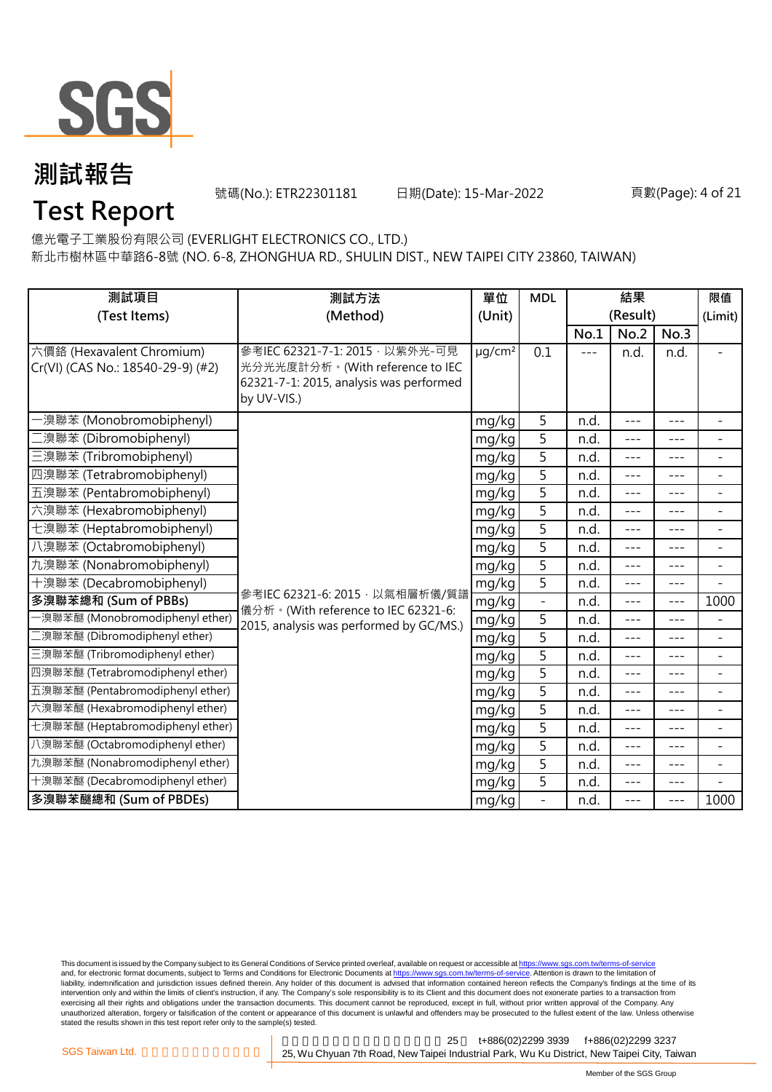

號碼(No.): ETR22301181 日期(Date): 15-Mar-2022 頁數(Page): 4 of 21

## **Test Report**

億光電子工業股份有限公司 (EVERLIGHT ELECTRONICS CO., LTD.)

新北市樹林區中華路6-8號 (NO. 6-8, ZHONGHUA RD., SHULIN DIST., NEW TAIPEI CITY 23860, TAIWAN)

| 測試項目<br>(Test Items)                                           | 測試方法<br>(Method)                                                                                                             | 單位<br>(Unit)            | <b>MDL</b>     | 結果<br>(Result) |         | 限值<br>(Limit)       |                          |
|----------------------------------------------------------------|------------------------------------------------------------------------------------------------------------------------------|-------------------------|----------------|----------------|---------|---------------------|--------------------------|
|                                                                |                                                                                                                              |                         |                | No.1           | No.2    | No.3                |                          |
| 六價鉻 (Hexavalent Chromium)<br>Cr(VI) (CAS No.: 18540-29-9) (#2) | 參考IEC 62321-7-1: 2015 · 以紫外光-可見<br>光分光光度計分析。(With reference to IEC<br>62321-7-1: 2015, analysis was performed<br>by UV-VIS.) | $\mu$ g/cm <sup>2</sup> | 0.1            | ---            | n.d.    | n.d.                |                          |
| ·溴聯苯 (Monobromobiphenyl)                                       |                                                                                                                              | mg/kg                   | 5              | n.d.           | $---$   | $- - -$             | $\overline{\phantom{a}}$ |
| 澳聯苯 (Dibromobiphenyl)                                          |                                                                                                                              | mg/kg                   | 5              | n.d.           | ---     | $---$               | $\overline{\phantom{a}}$ |
| 三溴聯苯 (Tribromobiphenyl)                                        |                                                                                                                              | mg/kg                   | 5              | n.d.           | $---$   | $---$               | $\overline{\phantom{a}}$ |
| 四溴聯苯 (Tetrabromobiphenyl)                                      |                                                                                                                              | mg/kg                   | 5              | n.d.           | $- - -$ | $---$               | $\blacksquare$           |
| 五溴聯苯 (Pentabromobiphenyl)                                      |                                                                                                                              | mg/kg                   | 5              | n.d.           | ---     | $---$               | $\overline{\phantom{a}}$ |
| 六溴聯苯 (Hexabromobiphenyl)                                       |                                                                                                                              | mg/kg                   | 5              | n.d.           | $---$   | $---$               | $\overline{\phantom{a}}$ |
| 七溴聯苯 (Heptabromobiphenyl)                                      |                                                                                                                              | mg/kg                   | $\overline{5}$ | n.d.           | ---     | ---                 | $\blacksquare$           |
| 八溴聯苯 (Octabromobiphenyl)                                       |                                                                                                                              | mg/kg                   | 5              | n.d.           | $---$   | $---$               | $\equiv$                 |
| 九溴聯苯 (Nonabromobiphenyl)                                       |                                                                                                                              | mg/kg                   | 5              | n.d.           | ---     | ---                 | $\overline{\phantom{a}}$ |
| 十溴聯苯 (Decabromobiphenyl)                                       |                                                                                                                              | mg/kg                   | 5              | n.d.           | $- - -$ | $---$               | $\blacksquare$           |
| 多溴聯苯總和 (Sum of PBBs)                                           | 參考IEC 62321-6: 2015, 以氣相層析儀/質譜<br>儀分析。(With reference to IEC 62321-6:                                                        | mg/kg                   |                | n.d.           | $---$   | $---$               | 1000                     |
| 一溴聯苯醚 (Monobromodiphenyl ether)                                | 2015, analysis was performed by GC/MS.)                                                                                      | mg/kg                   | 5              | n.d.           | $- - -$ | $---$               | $\overline{\phantom{a}}$ |
| 二溴聯苯醚 (Dibromodiphenyl ether)                                  |                                                                                                                              | mg/kg                   | 5              | n.d.           | $---$   | $- - -$             | $\overline{\phantom{a}}$ |
| 三溴聯苯醚 (Tribromodiphenyl ether)                                 |                                                                                                                              | mg/kg                   | 5              | n.d.           | $- - -$ |                     | $\blacksquare$           |
| 四溴聯苯醚 (Tetrabromodiphenyl ether)                               |                                                                                                                              | mg/kg                   | $\overline{5}$ | n.d.           | $---$   | $- - -$             | $\blacksquare$           |
| 五溴聯苯醚 (Pentabromodiphenyl ether)                               |                                                                                                                              | mg/kg                   | 5              | n.d.           | $- - -$ | $---$               | $\overline{\phantom{a}}$ |
| 六溴聯苯醚 (Hexabromodiphenyl ether)                                |                                                                                                                              | mg/kg                   | 5              | n.d.           | $---$   | $---$               | $\overline{\phantom{a}}$ |
| 七溴聯苯醚 (Heptabromodiphenyl ether)                               | mg/kg                                                                                                                        |                         | 5              | n.d.           | $---$   | $---$               | $\blacksquare$           |
| 八溴聯苯醚 (Octabromodiphenyl ether)                                |                                                                                                                              | mg/kg                   | 5              | n.d.           | $---$   | $---$               | $\equiv$                 |
| 九溴聯苯醚 (Nonabromodiphenyl ether)                                |                                                                                                                              | mg/kg                   | 5              | n.d.           | $---$   | $- - -$             | $\overline{\phantom{a}}$ |
| 十溴聯苯醚 (Decabromodiphenyl ether)                                |                                                                                                                              | mg/kg                   | 5              | n.d.           | ---     | $- - -$             |                          |
| 多溴聯苯醚總和 (Sum of PBDEs)                                         |                                                                                                                              | mg/kg                   | $\frac{1}{2}$  | n.d.           | $---$   | $\qquad \qquad - -$ | 1000                     |

This document is issued by the Company subject to its General Conditions of Service printed overleaf, available on request or accessible at <u>https://www.sgs.com.tw/terms-of-service</u><br>and, for electronic format documents, su liability, indemnification and jurisdiction issues defined therein. Any holder of this document is advised that information contained hereon reflects the Company's findings at the time of its intervention only and within the limits of client's instruction, if any. The Company's sole responsibility is to its Client and this document does not exonerate parties to a transaction from exercising all their rights and obligations under the transaction documents. This document cannot be reproduced, except in full, without prior written approval of the Company. Any<br>unauthorized alteration, forgery or falsif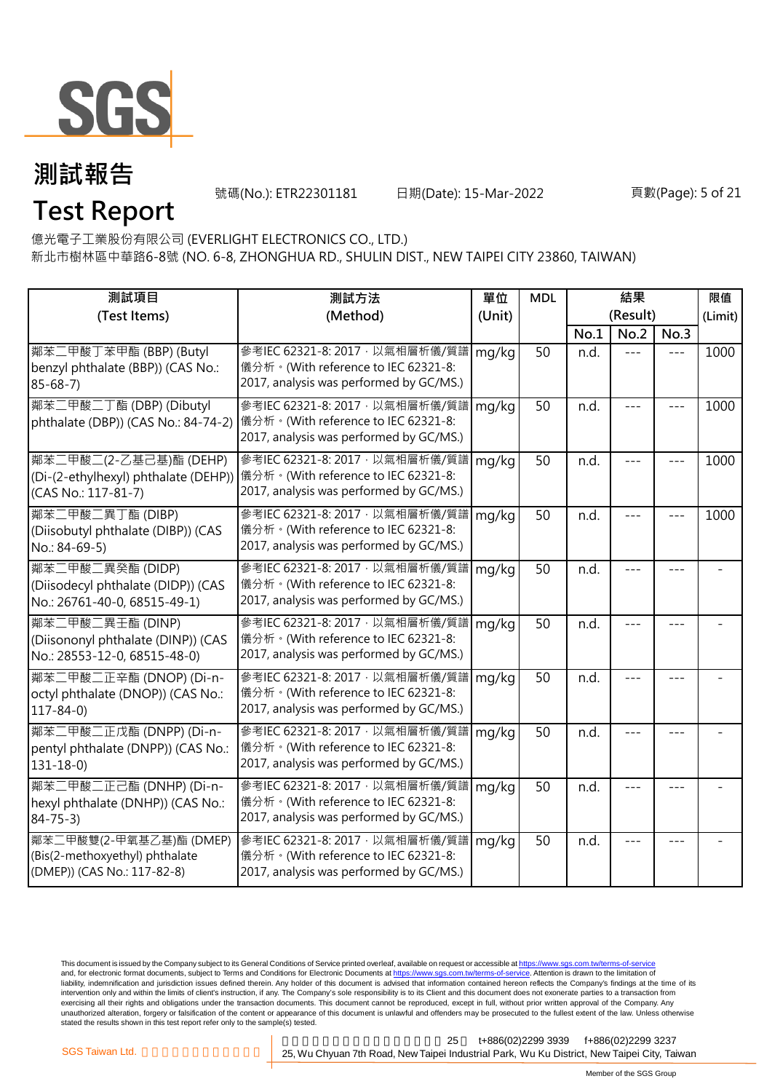

**Test Report**

號碼(No.): ETR22301181 日期(Date): 15-Mar-2022 頁數(Page): 5 of 21

億光電子工業股份有限公司 (EVERLIGHT ELECTRONICS CO., LTD.)

新北市樹林區中華路6-8號 (NO. 6-8, ZHONGHUA RD., SHULIN DIST., NEW TAIPEI CITY 23860, TAIWAN)

| 測試項目<br>(Test Items)                                                                     | 測試方法<br>(Method)                                                                                                                                      | 單位<br>(Unit) | <b>MDL</b> | 結果<br>(Result) |      |         | 限值<br>(Limit) |
|------------------------------------------------------------------------------------------|-------------------------------------------------------------------------------------------------------------------------------------------------------|--------------|------------|----------------|------|---------|---------------|
|                                                                                          |                                                                                                                                                       |              |            | No.1           | No.2 | No.3    |               |
| 鄰苯二甲酸丁苯甲酯 (BBP) (Butyl<br>benzyl phthalate (BBP)) (CAS No.:<br>$85 - 68 - 7$             | 參考IEC 62321-8: 2017, 以氣相層析儀/質譜<br>儀分析。(With reference to IEC 62321-8:<br>2017, analysis was performed by GC/MS.)                                      | mg/kg        | 50         | n.d.           |      |         | 1000          |
| 鄰苯二甲酸二丁酯 (DBP) (Dibutyl<br>phthalate (DBP)) (CAS No.: 84-74-2)                           | 參考IEC 62321-8: 2017, 以氣相層析儀/質譜<br>儀分析。(With reference to IEC 62321-8:<br>2017, analysis was performed by GC/MS.)                                      | mg/kg        | 50         | n.d.           |      |         | 1000          |
| 鄰苯二甲酸二(2-乙基己基)酯 (DEHP)<br>(CAS No.: 117-81-7)                                            | 參考IEC 62321-8: 2017, 以氣相層析儀/質譜<br>(Di-(2-ethylhexyl) phthalate (DEHP)) 儀分析。(With reference to IEC 62321-8:<br>2017, analysis was performed by GC/MS.) | mg/kg        | 50         | n.d.           |      |         | 1000          |
| 鄰苯二甲酸二異丁酯 (DIBP)<br>(Diisobutyl phthalate (DIBP)) (CAS<br>No.: 84-69-5)                  | 參考IEC 62321-8: 2017, 以氣相層析儀/質譜<br>儀分析。(With reference to IEC 62321-8:<br>2017, analysis was performed by GC/MS.)                                      | mg/kg        | 50         | n.d.           |      |         | 1000          |
| 鄰苯二甲酸二異癸酯 (DIDP)<br>(Diisodecyl phthalate (DIDP)) (CAS<br>No.: 26761-40-0, 68515-49-1)   | 參考IEC 62321-8: 2017, 以氣相層析儀/質譜<br>儀分析。(With reference to IEC 62321-8:<br>2017, analysis was performed by GC/MS.)                                      | mg/kg        | 50         | n.d.           |      | $- - -$ |               |
| 鄰苯二甲酸二異壬酯 (DINP)<br>(Diisononyl phthalate (DINP)) (CAS<br>No.: 28553-12-0, 68515-48-0)   | 參考IEC 62321-8: 2017, 以氣相層析儀/質譜<br>儀分析。(With reference to IEC 62321-8:<br>2017, analysis was performed by GC/MS.)                                      | mg/kg        | 50         | n.d.           |      |         |               |
| 鄰苯二甲酸二正辛酯 (DNOP) (Di-n-<br>octyl phthalate (DNOP)) (CAS No.:<br>$117 - 84 - 0$           | 參考IEC 62321-8: 2017, 以氣相層析儀/質譜<br>儀分析。(With reference to IEC 62321-8:<br>2017, analysis was performed by GC/MS.)                                      | mg/kg        | 50         | n.d.           |      |         |               |
| 鄰苯二甲酸二正戊酯 (DNPP) (Di-n-<br>pentyl phthalate (DNPP)) (CAS No.:<br>$131 - 18 - 0$          | 參考IEC 62321-8: 2017, 以氣相層析儀/質譜<br>儀分析。(With reference to IEC 62321-8:<br>2017, analysis was performed by GC/MS.)                                      | mg/kg        | 50         | n.d.           |      |         |               |
| 鄰苯二甲酸二正己酯 (DNHP) (Di-n-<br>hexyl phthalate (DNHP)) (CAS No.:<br>$84 - 75 - 3$            | 參考IEC 62321-8: 2017 · 以氣相層析儀/質譜<br>儀分析。(With reference to IEC 62321-8:<br>2017, analysis was performed by GC/MS.)                                     | mg/kg        | 50         | n.d.           |      |         |               |
| 鄰苯二甲酸雙(2-甲氧基乙基)酯 (DMEP)<br>(Bis(2-methoxyethyl) phthalate<br>(DMEP)) (CAS No.: 117-82-8) | 參考IEC 62321-8: 2017, 以氣相層析儀/質譜<br>儀分析。(With reference to IEC 62321-8:<br>2017, analysis was performed by GC/MS.)                                      | mg/kg        | 50         | n.d.           |      |         |               |

This document is issued by the Company subject to its General Conditions of Service printed overleaf, available on request or accessible at <u>https://www.sgs.com.tw/terms-of-service</u><br>and, for electronic format documents, su liability, indemnification and jurisdiction issues defined therein. Any holder of this document is advised that information contained hereon reflects the Company's findings at the time of its intervention only and within the limits of client's instruction, if any. The Company's sole responsibility is to its Client and this document does not exonerate parties to a transaction from exercising all their rights and obligations under the transaction documents. This document cannot be reproduced, except in full, without prior written approval of the Company. Any<br>unauthorized alteration, forgery or falsif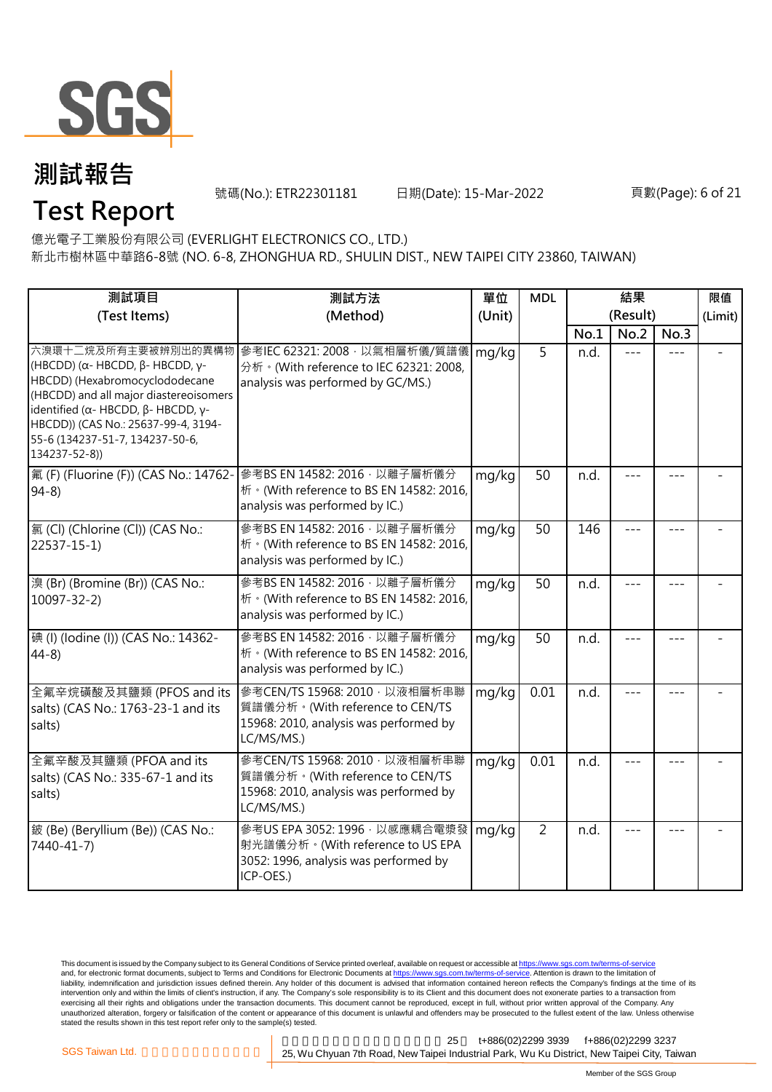

號碼(No.): ETR22301181 日期(Date): 15-Mar-2022 頁數(Page): 6 of 21

億光電子工業股份有限公司 (EVERLIGHT ELECTRONICS CO., LTD.)

新北市樹林區中華路6-8號 (NO. 6-8, ZHONGHUA RD., SHULIN DIST., NEW TAIPEI CITY 23860, TAIWAN)

| 測試項目                                                                                                                                                                                                                                                                                           | 測試方法                                                                                                                      | 單位     | <b>MDL</b>     | 結果   |          | 限值      |         |
|------------------------------------------------------------------------------------------------------------------------------------------------------------------------------------------------------------------------------------------------------------------------------------------------|---------------------------------------------------------------------------------------------------------------------------|--------|----------------|------|----------|---------|---------|
| (Test Items)                                                                                                                                                                                                                                                                                   | (Method)                                                                                                                  | (Unit) |                |      | (Result) |         | (Limit) |
|                                                                                                                                                                                                                                                                                                |                                                                                                                           |        |                | No.1 | No.2     | No.3    |         |
| 六溴環十二烷及所有主要被辨別出的異構物<br>(HBCDD) (α- HBCDD, $β$ - HBCDD, γ-<br>HBCDD) (Hexabromocyclododecane<br>(HBCDD) and all major diastereoisomers<br>identified ( $\alpha$ - HBCDD, $\beta$ - HBCDD, $\gamma$ -<br>HBCDD)) (CAS No.: 25637-99-4, 3194-<br>55-6 (134237-51-7, 134237-50-6,<br>134237-52-8)) | 參考IEC 62321: 2008, 以氣相層析儀/質譜儀<br>分析 · (With reference to IEC 62321: 2008,<br>analysis was performed by GC/MS.)            | mg/kg  | 5              | n.d. | $---$    |         |         |
| 氟 (F) (Fluorine (F)) (CAS No.: 14762-<br>$94-8$                                                                                                                                                                                                                                                | 參考BS EN 14582: 2016, 以離子層析儀分<br>析 · (With reference to BS EN 14582: 2016,<br>analysis was performed by IC.)               | mg/kg  | 50             | n.d. | $- - -$  | $- - -$ |         |
| 氯 (Cl) (Chlorine (Cl)) (CAS No.:<br>$22537 - 15 - 1$                                                                                                                                                                                                                                           | 參考BS EN 14582: 2016 · 以離子層析儀分<br>析 · (With reference to BS EN 14582: 2016,<br>analysis was performed by IC.)              | mg/kg  | 50             | 146  | $- - -$  | ---     |         |
| 溴 (Br) (Bromine (Br)) (CAS No.:<br>$10097 - 32 - 2$                                                                                                                                                                                                                                            | 參考BS EN 14582: 2016 · 以離子層析儀分<br>析 · (With reference to BS EN 14582: 2016,<br>analysis was performed by IC.)              | mg/kg  | 50             | n.d. |          |         |         |
| 碘 (I) (Iodine (I)) (CAS No.: 14362-<br>$44-8$                                                                                                                                                                                                                                                  | 參考BS EN 14582: 2016 · 以離子層析儀分<br>析 · (With reference to BS EN 14582: 2016,<br>analysis was performed by IC.)              | mg/kg  | 50             | n.d. |          |         |         |
| 全氟辛烷磺酸及其鹽類 (PFOS and its<br>salts) (CAS No.: 1763-23-1 and its<br>salts)                                                                                                                                                                                                                       | 參考CEN/TS 15968: 2010, 以液相層析串聯<br>質譜儀分析。(With reference to CEN/TS<br>15968: 2010, analysis was performed by<br>LC/MS/MS.)  | mg/kg  | 0.01           | n.d. |          |         |         |
| 全氟辛酸及其鹽類 (PFOA and its<br>salts) (CAS No.: 335-67-1 and its<br>salts)                                                                                                                                                                                                                          | 參考CEN/TS 15968: 2010 · 以液相層析串聯<br>質譜儀分析。(With reference to CEN/TS<br>15968: 2010, analysis was performed by<br>LC/MS/MS.) | mg/kg  | 0.01           | n.d. |          |         |         |
| 鈹 (Be) (Beryllium (Be)) (CAS No.:<br>7440-41-7)                                                                                                                                                                                                                                                | 參考US EPA 3052: 1996, 以感應耦合電漿發<br>射光譜儀分析。(With reference to US EPA<br>3052: 1996, analysis was performed by<br>ICP-OES.)   | mg/kg  | $\overline{2}$ | n.d. |          |         |         |

This document is issued by the Company subject to its General Conditions of Service printed overleaf, available on request or accessible at <u>https://www.sgs.com.tw/terms-of-service</u><br>and, for electronic format documents, su liability, indemnification and jurisdiction issues defined therein. Any holder of this document is advised that information contained hereon reflects the Company's findings at the time of its intervention only and within the limits of client's instruction, if any. The Company's sole responsibility is to its Client and this document does not exonerate parties to a transaction from exercising all their rights and obligations under the transaction documents. This document cannot be reproduced, except in full, without prior written approval of the Company. Any<br>unauthorized alteration, forgery or falsif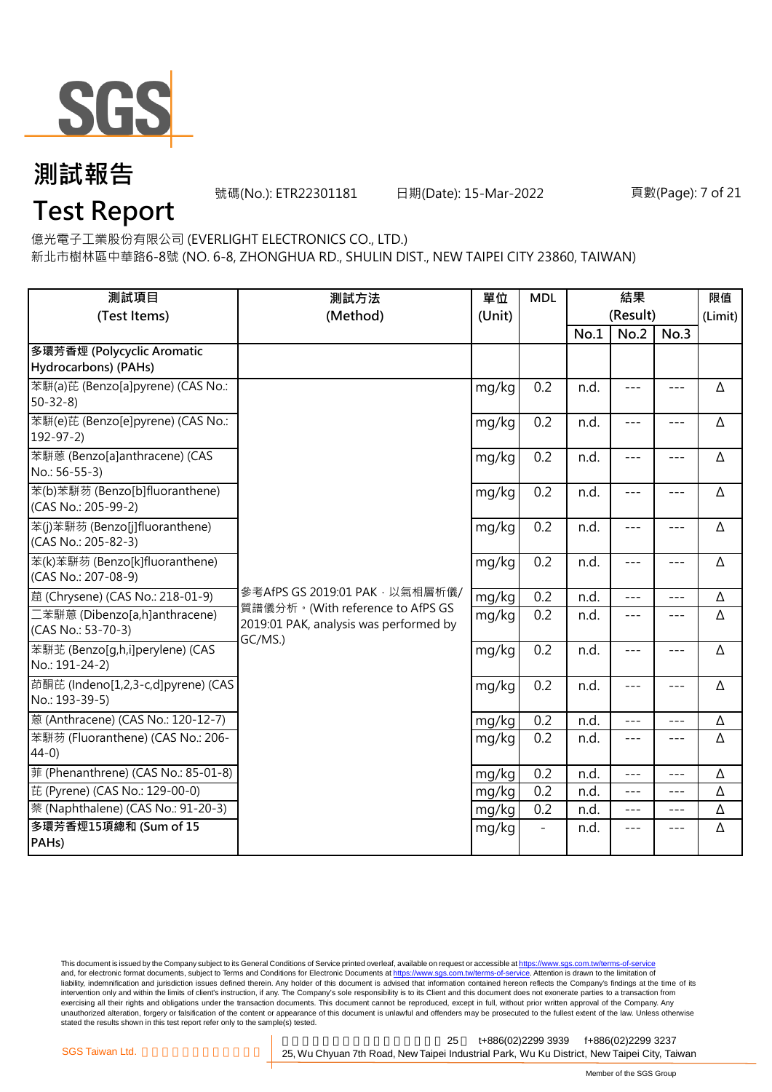

號碼(No.): ETR22301181 日期(Date): 15-Mar-2022 頁數(Page): 7 of 21

## **Test Report**

億光電子工業股份有限公司 (EVERLIGHT ELECTRONICS CO., LTD.)

新北市樹林區中華路6-8號 (NO. 6-8, ZHONGHUA RD., SHULIN DIST., NEW TAIPEI CITY 23860, TAIWAN)

| 測試項目<br>(Test Items)                                  | 測試方法<br>(Method)                                                                      | 單位<br>(Unit) | <b>MDL</b> | 結果<br>(Result) |         |               | 限值<br>(Limit) |
|-------------------------------------------------------|---------------------------------------------------------------------------------------|--------------|------------|----------------|---------|---------------|---------------|
|                                                       |                                                                                       |              |            | No.1           | No.2    | No.3          |               |
| 多環芳香烴 (Polycyclic Aromatic<br>Hydrocarbons) (PAHs)    |                                                                                       |              |            |                |         |               |               |
| 苯駢(a)芘 (Benzo[a]pyrene) (CAS No.:<br>$50 - 32 - 8$    |                                                                                       | mg/kg        | 0.2        | n.d.           | $---$   | $---$         | Δ             |
| 苯駢(e)芘 (Benzo[e]pyrene) (CAS No.:<br>$192 - 97 - 2$   |                                                                                       | mg/kg        | 0.2        | n.d.           | $---$   | $---$         | $\Delta$      |
| 苯駢蒽 (Benzo[a]anthracene) (CAS<br>No.: 56-55-3)        |                                                                                       | mg/kg        | 0.2        | n.d.           | $---$   | $\frac{1}{2}$ | Δ             |
| 苯(b)苯駢芴 (Benzo[b]fluoranthene)<br>(CAS No.: 205-99-2) |                                                                                       | mg/kg        | 0.2        | n.d.           | $---$   | $---$         | Δ             |
| 苯(j)苯駢芴 (Benzo[j]fluoranthene)<br>(CAS No.: 205-82-3) |                                                                                       | mg/kg        | 0.2        | n.d.           | $---$   | $---$         | Δ             |
| 苯(k)苯駢芴 (Benzo[k]fluoranthene)<br>(CAS No.: 207-08-9) |                                                                                       | mg/kg        | 0.2        | n.d.           | $---$   | $---$         | Δ             |
| 蔰 (Chrysene) (CAS No.: 218-01-9)                      | 參考AfPS GS 2019:01 PAK,以氣相層析儀/                                                         | mg/kg        | 0.2        | n.d.           | $---$   | $---$         | Δ             |
| 二苯駢蒽 (Dibenzo[a,h]anthracene)<br>(CAS No.: 53-70-3)   | 質譜儀分析。(With reference to AfPS GS<br>2019:01 PAK, analysis was performed by<br>GC/MS.) | mg/kg        | 0.2        | n.d.           | $---$   | $- - -$       | Δ             |
| 苯駢芷 (Benzo[q,h,i]perylene) (CAS<br>No.: 191-24-2)     |                                                                                       | mg/kg        | 0.2        | n.d.           | $---$   | $---$         | Δ             |
| 茚酮芘 (Indeno[1,2,3-c,d]pyrene) (CAS<br>No.: 193-39-5)  |                                                                                       | mg/kg        | 0.2        | n.d.           | $---$   | $---$         | Δ             |
| 蒽 (Anthracene) (CAS No.: 120-12-7)                    |                                                                                       | mg/kg        | 0.2        | n.d.           | $ -$    | $---$         | Δ             |
| 苯駢芴 (Fluoranthene) (CAS No.: 206-<br>$44-0)$          |                                                                                       | mg/kg        | 0.2        | n.d.           | $---$   | $- - -$       | Δ             |
| 菲 (Phenanthrene) (CAS No.: 85-01-8)                   |                                                                                       | mg/kg        | 0.2        | n.d.           | $- - -$ |               | Δ             |
| 芘 (Pyrene) (CAS No.: 129-00-0)                        |                                                                                       | mg/kg        | 0.2        | n.d.           | $- - -$ | $---$         | Δ             |
| 萘 (Naphthalene) (CAS No.: 91-20-3)                    |                                                                                       | mg/kg        | 0.2        | n.d.           | $---$   | $---$         | Δ             |
| 多環芳香烴15項總和 (Sum of 15<br>PAH <sub>s</sub> )           |                                                                                       | mg/kg        |            | n.d.           | $---$   | $---$         | Δ             |

This document is issued by the Company subject to its General Conditions of Service printed overleaf, available on request or accessible at <u>https://www.sgs.com.tw/terms-of-service</u><br>and, for electronic format documents, su liability, indemnification and jurisdiction issues defined therein. Any holder of this document is advised that information contained hereon reflects the Company's findings at the time of its intervention only and within the limits of client's instruction, if any. The Company's sole responsibility is to its Client and this document does not exonerate parties to a transaction from exercising all their rights and obligations under the transaction documents. This document cannot be reproduced, except in full, without prior written approval of the Company. Any<br>unauthorized alteration, forgery or falsif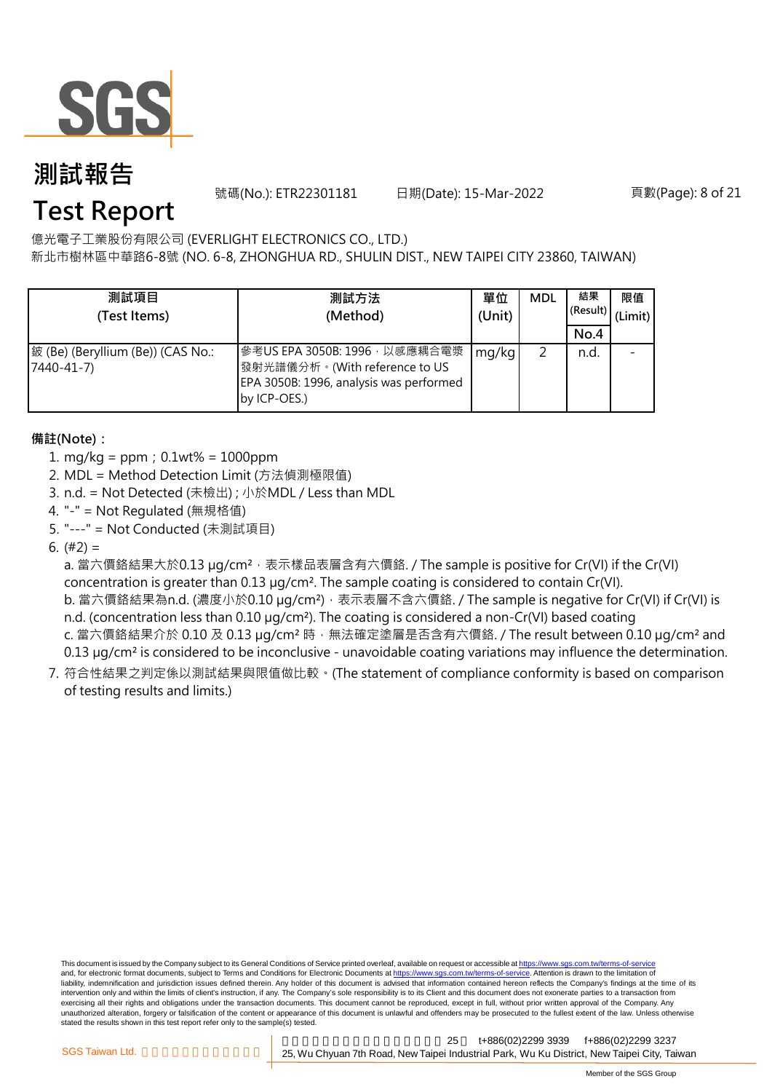

號碼(No.): ETR22301181 日期(Date): 15-Mar-2022 頁數(Page): 8 of 21

## **Test Report**

億光電子工業股份有限公司 (EVERLIGHT ELECTRONICS CO., LTD.)

新北市樹林區中華路6-8號 (NO. 6-8, ZHONGHUA RD., SHULIN DIST., NEW TAIPEI CITY 23860, TAIWAN)

| 測試項目<br>(Test Items)                                 | 測試方法<br>(Method)                                                                                                          | 單位<br>(Unit) | <b>MDL</b> | 結果<br>(Result)<br>No.4 | 限值<br>(Limit) |
|------------------------------------------------------|---------------------------------------------------------------------------------------------------------------------------|--------------|------------|------------------------|---------------|
| 鈹 (Be) (Beryllium (Be)) (CAS No.:<br>$7440 - 41 - 7$ | 參考US EPA 3050B: 1996, 以感應耦合電漿<br>發射光譜儀分析。(With reference to US<br>EPA 3050B: 1996, analysis was performed<br>by ICP-OES.) | mg/kg        |            | n.d.                   |               |

### **備註(Note):**

- 1. mg/kg = ppm;0.1wt% = 1000ppm
- 2. MDL = Method Detection Limit (方法偵測極限值)
- 3. n.d. = Not Detected (未檢出) ; 小於MDL / Less than MDL
- 4. "-" = Not Regulated (無規格值)
- 5. "---" = Not Conducted (未測試項目)
- 6.  $(#2) =$

a. 當六價鉻結果大於0.13 μg/cm<sup>2</sup>, 表示樣品表層含有六價鉻. / The sample is positive for Cr(VI) if the Cr(VI) concentration is greater than 0.13 µg/cm². The sample coating is considered to contain Cr(VI). b. 當六價鉻結果為n.d. (濃度小於0.10 µg/cm<sup>2</sup>), 表示表層不含六價鉻. / The sample is negative for Cr(VI) if Cr(VI) is n.d. (concentration less than 0.10 µg/cm<sup>2</sup>). The coating is considered a non-Cr(VI) based coating c. 當六價鉻結果介於 0.10 及 0.13 µg/cm<sup>2</sup> 時, 無法確定塗層是否含有六價鉻. / The result between 0.10 µg/cm<sup>2</sup> and 0.13 µg/cm² is considered to be inconclusive - unavoidable coating variations may influence the determination.

7. 符合性結果之判定係以測試結果與限值做比較。(The statement of compliance conformity is based on comparison of testing results and limits.)

This document is issued by the Company subject to its General Conditions of Service printed overleaf, available on request or accessible at https://www.sgs.com.tw/terms-of-service and, for electronic format documents, subject to Terms and Conditions for Electronic Documents at https://www.sgs.com.tw/terms-of-service. Attention is drawn to the limitation of liability, indemnification and jurisdiction issues defined therein. Any holder of this document is advised that information contained hereon reflects the Company's findings at the time of its intervention only and within the limits of client's instruction, if any. The Company's sole responsibility is to its Client and this document does not exonerate parties to a transaction from exercising all their rights and obligations under the transaction documents. This document cannot be reproduced, except in full, without prior written approval of the Company. Any<br>unauthorized alteration, forgery or falsif stated the results shown in this test report refer only to the sample(s) tested.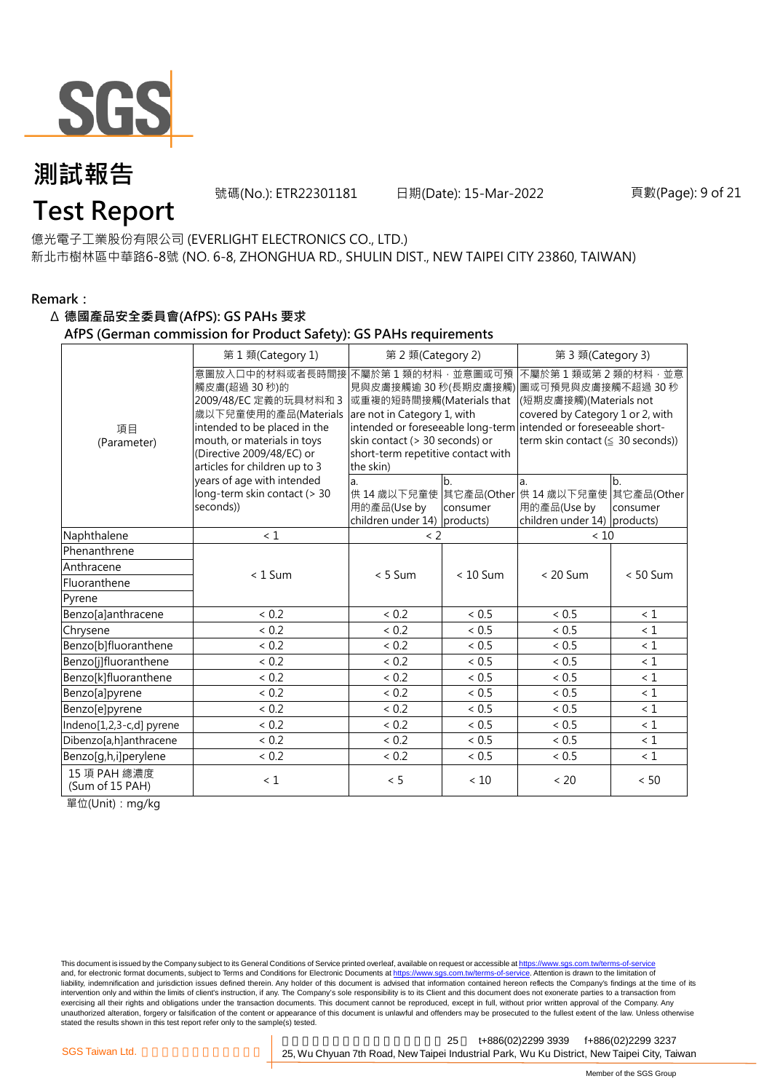

號碼(No.): ETR22301181 日期(Date): 15-Mar-2022 頁數(Page): 9 of 21

## **Test Report**

億光電子工業股份有限公司 (EVERLIGHT ELECTRONICS CO., LTD.) 新北市樹林區中華路6-8號 (NO. 6-8, ZHONGHUA RD., SHULIN DIST., NEW TAIPEI CITY 23860, TAIWAN)

### **Remark:**

#### Δ **德國產品安全委員會(AfPS): GS PAHs 要求**

#### **AfPS (German commission for Product Safety): GS PAHs requirements**

|                                 | 第1類(Category 1)                                                                                                                                                                                               | 第 2 類(Category 2)                                                                                                                                                |                | 第 3 類(Category 3)                                                                                                                                                                                                                  |                |  |  |
|---------------------------------|---------------------------------------------------------------------------------------------------------------------------------------------------------------------------------------------------------------|------------------------------------------------------------------------------------------------------------------------------------------------------------------|----------------|------------------------------------------------------------------------------------------------------------------------------------------------------------------------------------------------------------------------------------|----------------|--|--|
| 項目<br>(Parameter)               | 意圖放入口中的材料或者長時間接<br>觸皮膚(超過 30秒)的<br>2009/48/EC 定義的玩具材料和 3<br>歲以下兒童使用的產品(Materials<br>intended to be placed in the<br>mouth, or materials in toys<br>(Directive 2009/48/EC) or<br>articles for children up to 3 | 不屬於第1類的材料,並意圖或可預<br>或重複的短時間接觸(Materials that<br>are not in Category 1, with<br>skin contact (> 30 seconds) or<br>short-term repetitive contact with<br>the skin) |                | 不屬於第1類或第2類的材料,並意<br>見與皮膚接觸逾 30 秒(長期皮膚接觸) 圖或可預見與皮膚接觸不超過 30 秒<br>(短期皮膚接觸)(Materials not<br>covered by Category 1 or 2, with<br>intended or foreseeable long-term intended or foreseeable short-<br>term skin contact (≤ 30 seconds)) |                |  |  |
|                                 | years of age with intended<br>long-term skin contact (> 30<br>seconds))                                                                                                                                       | a.<br>用的產品(Use by<br>children under $14$ ) products)                                                                                                             | b.<br>consumer | a.<br>供 14 歳以下兒童使 其它產品(Other 供 14 歳以下兒童使 其它產品(Other<br>用的產品(Use by<br>children under 14) products)                                                                                                                                 | b.<br>consumer |  |  |
| Naphthalene                     | < 1                                                                                                                                                                                                           | $\langle$ 2                                                                                                                                                      |                | < 10                                                                                                                                                                                                                               |                |  |  |
| Phenanthrene                    |                                                                                                                                                                                                               |                                                                                                                                                                  |                |                                                                                                                                                                                                                                    |                |  |  |
| Anthracene                      | $< 1$ Sum                                                                                                                                                                                                     | $< 5$ Sum                                                                                                                                                        | $< 10$ Sum     | $< 20$ Sum                                                                                                                                                                                                                         | $< 50$ Sum     |  |  |
| Fluoranthene                    |                                                                                                                                                                                                               |                                                                                                                                                                  |                |                                                                                                                                                                                                                                    |                |  |  |
| Pyrene                          |                                                                                                                                                                                                               |                                                                                                                                                                  |                |                                                                                                                                                                                                                                    |                |  |  |
| Benzo[a]anthracene              | < 0.2                                                                                                                                                                                                         | < 0.2                                                                                                                                                            | < 0.5          | < 0.5                                                                                                                                                                                                                              | < 1            |  |  |
| Chrysene                        | < 0.2                                                                                                                                                                                                         | < 0.2                                                                                                                                                            | < 0.5          | < 0.5                                                                                                                                                                                                                              | $\leq 1$       |  |  |
| Benzo[b]fluoranthene            | ${}< 0.2$                                                                                                                                                                                                     | < 0.2                                                                                                                                                            | ~< 0.5         | ~< 0.5                                                                                                                                                                                                                             | $\leq 1$       |  |  |
| Benzo[j]fluoranthene            | < 0.2                                                                                                                                                                                                         | < 0.2                                                                                                                                                            | < 0.5          | < 0.5                                                                                                                                                                                                                              | $\leq 1$       |  |  |
| Benzo[k]fluoranthene            | < 0.2                                                                                                                                                                                                         | < 0.2                                                                                                                                                            | ~< 0.5         | ~< 0.5                                                                                                                                                                                                                             | $\leq 1$       |  |  |
| Benzo[a]pyrene                  | < 0.2                                                                                                                                                                                                         | < 0.2                                                                                                                                                            | < 0.5          | < 0.5                                                                                                                                                                                                                              | < 1            |  |  |
| Benzo[e]pyrene                  | < 0.2                                                                                                                                                                                                         | < 0.2                                                                                                                                                            | ~< 0.5         | ~< 0.5                                                                                                                                                                                                                             | $\leq 1$       |  |  |
| Indeno[1,2,3-c,d] pyrene        | < 0.2                                                                                                                                                                                                         | < 0.2                                                                                                                                                            | < 0.5          | < 0.5                                                                                                                                                                                                                              | $\leq 1$       |  |  |
| Dibenzo[a,h]anthracene          | < 0.2                                                                                                                                                                                                         | < 0.2                                                                                                                                                            | < 0.5          | < 0.5                                                                                                                                                                                                                              | $\leq 1$       |  |  |
| Benzo[g,h,i]perylene            | < 0.2                                                                                                                                                                                                         | < 0.2                                                                                                                                                            | ~< 0.5         | ~< 0.5                                                                                                                                                                                                                             | $\leq 1$       |  |  |
| 15 項 PAH 總濃度<br>(Sum of 15 PAH) | $\leq 1$                                                                                                                                                                                                      | < 5                                                                                                                                                              | < 10           | < 20                                                                                                                                                                                                                               | < 50           |  |  |

單位(Unit):mg/kg

This document is issued by the Company subject to its General Conditions of Service printed overleaf, available on request or accessible at https://www.sgs.com.tw/terms-of-service and, for electronic format documents, subject to Terms and Conditions for Electronic Documents at https://www.sgs.com.tw/terms-of-service. Attention is drawn to the limitation of liability, indemnification and jurisdiction issues defined therein. Any holder of this document is advised that information contained hereon reflects the Company's findings at the time of its intervention only and within the limits of client's instruction, if any. The Company's sole responsibility is to its Client and this document does not exonerate parties to a transaction from exercising all their rights and obligations under the transaction documents. This document cannot be reproduced, except in full, without prior written approval of the Company. Any<br>unauthorized alteration, forgery or falsif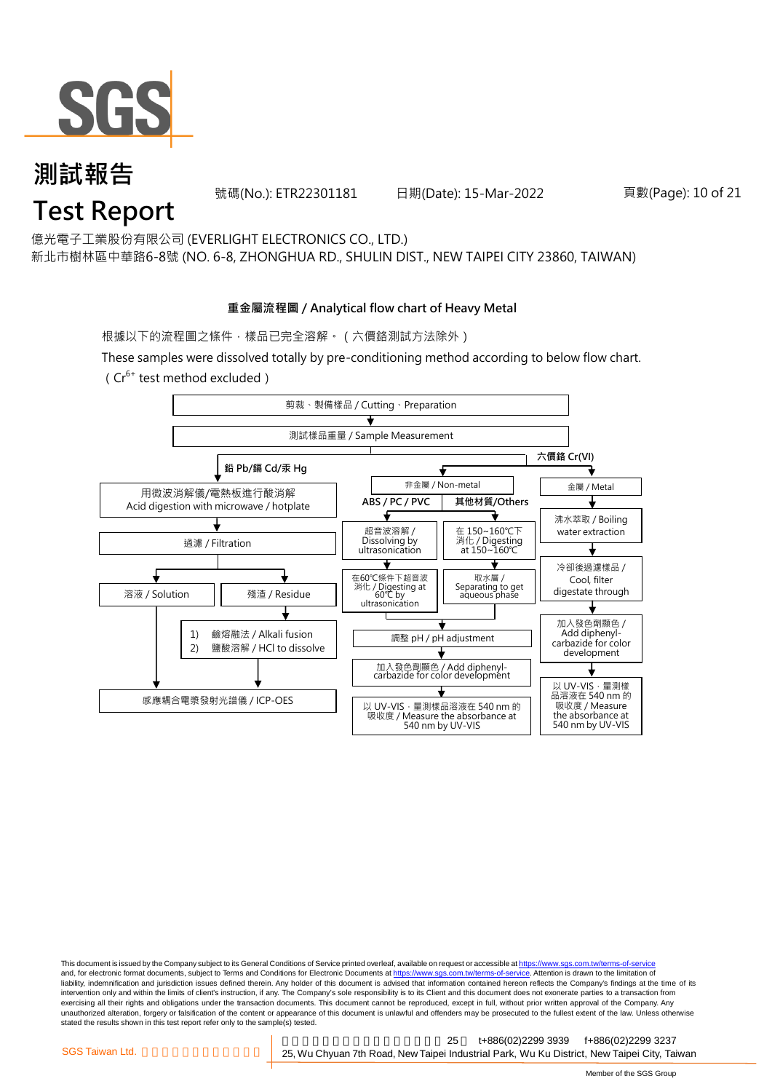

號碼(No.): ETR22301181 日期(Date): 15-Mar-2022 頁數(Page): 10 of 21

億光電子工業股份有限公司 (EVERLIGHT ELECTRONICS CO., LTD.)

新北市樹林區中華路6-8號 (NO. 6-8, ZHONGHUA RD., SHULIN DIST., NEW TAIPEI CITY 23860, TAIWAN)

#### **重金屬流程圖 / Analytical flow chart of Heavy Metal**

根據以下的流程圖之條件,樣品已完全溶解。 (六價鉻測試方法除外)

These samples were dissolved totally by pre-conditioning method according to below flow chart.

( $Cr^{6+}$  test method excluded)



This document is issued by the Company subject to its General Conditions of Service printed overleaf, available on request or accessible at https://www.sgs.com.tw/terms-of-service and, for electronic format documents, subject to Terms and Conditions for Electronic Documents at https://www.sgs.com.tw/terms-of-service. Attention is drawn to the limitation of liability, indemnification and jurisdiction issues defined therein. Any holder of this document is advised that information contained hereon reflects the Company's findings at the time of its intervention only and within the limits of client's instruction, if any. The Company's sole responsibility is to its Client and this document does not exonerate parties to a transaction from exercising all their rights and obligations under the transaction documents. This document cannot be reproduced, except in full, without prior written approval of the Company. Any<br>unauthorized alteration, forgery or falsif stated the results shown in this test report refer only to the sample(s) tested.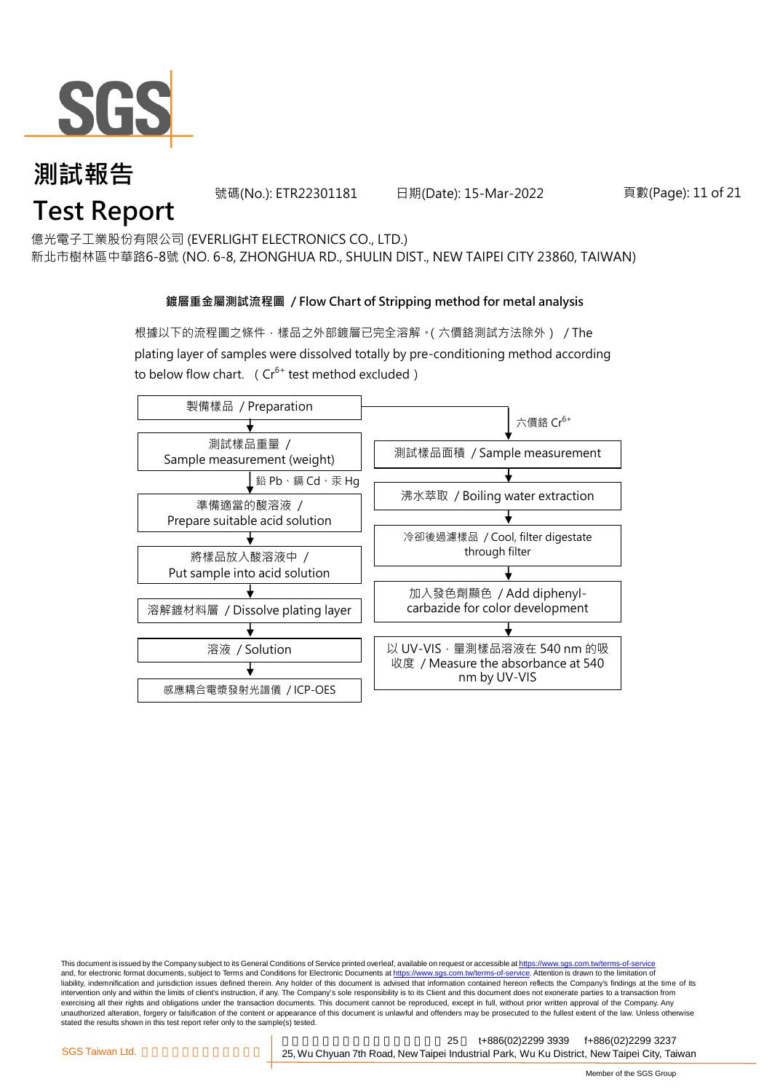

號碼(No.): ETR22301181 日期(Date): 15-Mar-2022 頁數(Page): 11 of 21

億光電子工業股份有限公司 (EVERLIGHT ELECTRONICS CO., LTD.)

新北市樹林區中華路6-8號 (NO. 6-8, ZHONGHUA RD., SHULIN DIST., NEW TAIPEI CITY 23860, TAIWAN)

#### **鍍層重金屬測試流程圖 / Flow Chart of Stripping method for metal analysis**

根據以下的流程圖之條件,樣品之外部鍍層已完全溶解。(六價鉻測試方法除外) / The plating layer of samples were dissolved totally by pre-conditioning method according to below flow chart. ( $Cr^{6+}$  test method excluded)



This document is issued by the Company subject to its General Conditions of Service printed overleaf, available on request or accessible at https://www.sgs.com.tw/terms-of-service and, for electronic format documents, subject to Terms and Conditions for Electronic Documents at https://www.sgs.com.tw/terms-of-service. Attention is drawn to the limitation of liability, indemnification and jurisdiction issues defined therein. Any holder of this document is advised that information contained hereon reflects the Company's findings at the time of its intervention only and within the limits of client's instruction, if any. The Company's sole responsibility is to its Client and this document does not exonerate parties to a transaction from exercising all their rights and obligations under the transaction documents. This document cannot be reproduced, except in full, without prior written approval of the Company. Any<br>unauthorized alteration, forgery or falsif stated the results shown in this test report refer only to the sample(s) tested.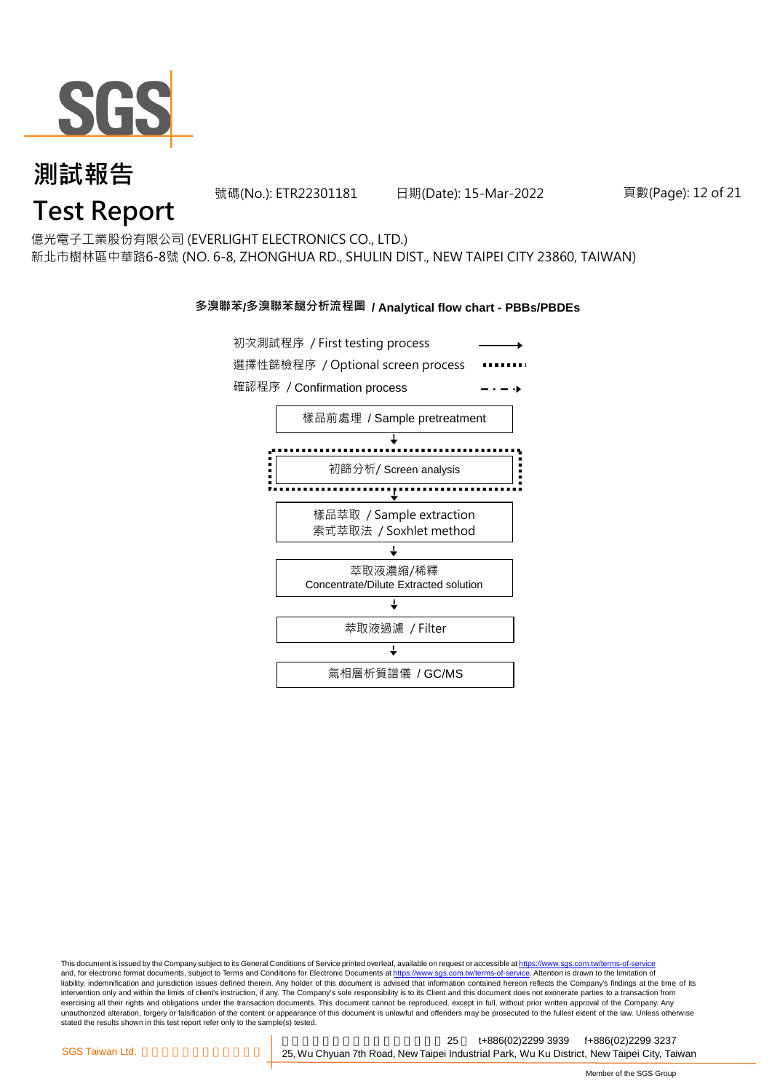

號碼(No.): ETR22301181 日期(Date): 15-Mar-2022 頁數(Page): 12 of 21

## **Test Report**

億光電子工業股份有限公司 (EVERLIGHT ELECTRONICS CO., LTD.) 新北市樹林區中華路6-8號 (NO. 6-8, ZHONGHUA RD., SHULIN DIST., NEW TAIPEI CITY 23860, TAIWAN)

#### **多溴聯苯/多溴聯苯醚分析流程圖 / Analytical flow chart - PBBs/PBDEs**



This document is issued by the Company subject to its General Conditions of Service printed overleaf, available on request or accessible at https://www.sgs.com.tw/terms-of-service and, for electronic format documents, subject to Terms and Conditions for Electronic Documents at https://www.sgs.com.tw/terms-of-service. Attention is drawn to the limitation of liability, indemnification and jurisdiction issues defined therein. Any holder of this document is advised that information contained hereon reflects the Company's findings at the time of its intervention only and within the limits of client's instruction, if any. The Company's sole responsibility is to its Client and this document does not exonerate parties to a transaction from exercising all their rights and obligations under the transaction documents. This document cannot be reproduced, except in full, without prior written approval of the Company. Any<br>unauthorized alteration, forgery or falsif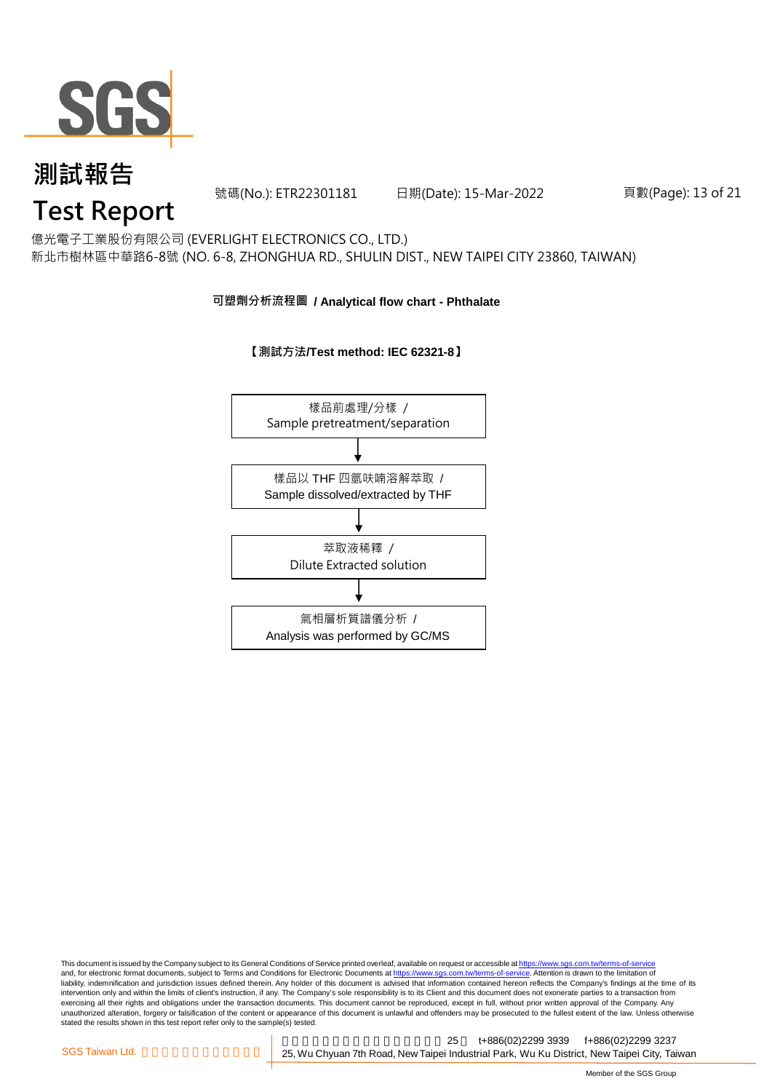

號碼(No.): ETR22301181 日期(Date): 15-Mar-2022 頁數(Page): 13 of 21

## **Test Report**

億光電子工業股份有限公司 (EVERLIGHT ELECTRONICS CO., LTD.) 新北市樹林區中華路6-8號 (NO. 6-8, ZHONGHUA RD., SHULIN DIST., NEW TAIPEI CITY 23860, TAIWAN)

#### **可塑劑分析流程圖 / Analytical flow chart - Phthalate**

### **【測試方法/Test method: IEC 62321-8】**



This document is issued by the Company subject to its General Conditions of Service printed overleaf, available on request or accessible at <u>https://www.sgs.com.tw/terms-of-service</u><br>and, for electronic format documents, su liability, indemnification and jurisdiction issues defined therein. Any holder of this document is advised that information contained hereon reflects the Company's findings at the time of its intervention only and within the limits of client's instruction, if any. The Company's sole responsibility is to its Client and this document does not exonerate parties to a transaction from exercising all their rights and obligations under the transaction documents. This document cannot be reproduced, except in full, without prior written approval of the Company. Any<br>unauthorized alteration, forgery or falsif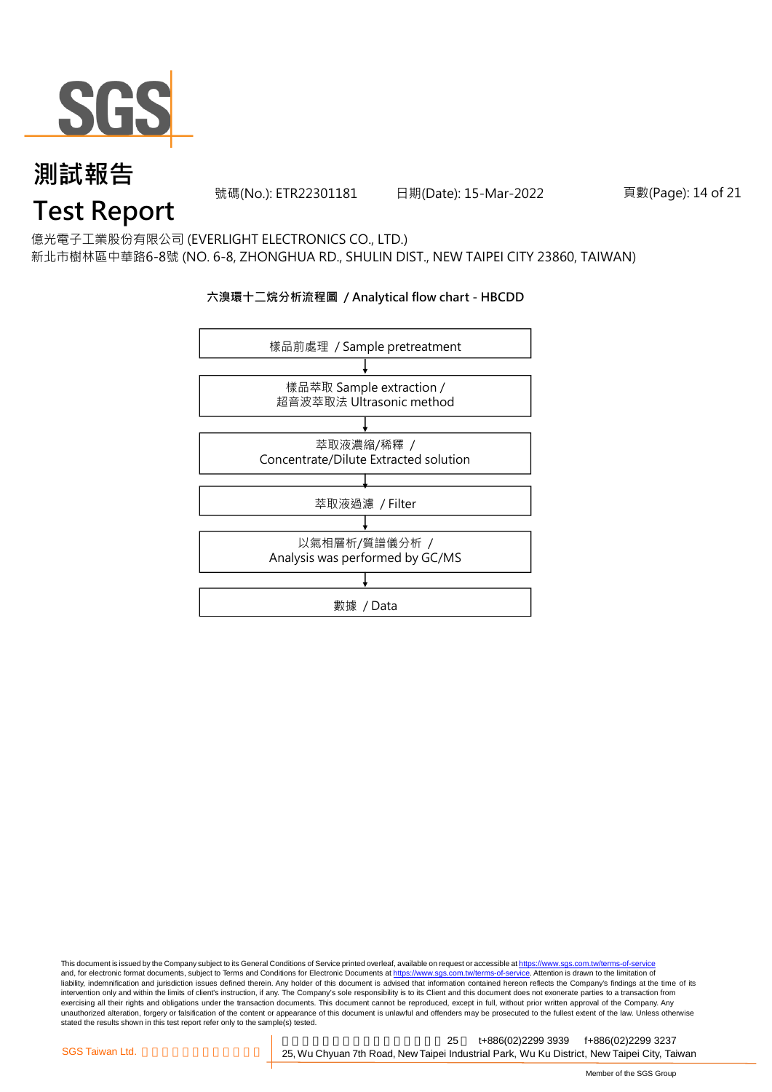

號碼(No.): ETR22301181 日期(Date): 15-Mar-2022 頁數(Page): 14 of 21

## **Test Report**

億光電子工業股份有限公司 (EVERLIGHT ELECTRONICS CO., LTD.) 新北市樹林區中華路6-8號 (NO. 6-8, ZHONGHUA RD., SHULIN DIST., NEW TAIPEI CITY 23860, TAIWAN)

### **六溴環十二烷分析流程圖 / Analytical flow chart - HBCDD**



This document is issued by the Company subject to its General Conditions of Service printed overleaf, available on request or accessible at <u>https://www.sgs.com.tw/terms-of-service</u><br>and, for electronic format documents, su liability, indemnification and jurisdiction issues defined therein. Any holder of this document is advised that information contained hereon reflects the Company's findings at the time of its intervention only and within the limits of client's instruction, if any. The Company's sole responsibility is to its Client and this document does not exonerate parties to a transaction from exercising all their rights and obligations under the transaction documents. This document cannot be reproduced, except in full, without prior written approval of the Company. Any<br>unauthorized alteration, forgery or falsif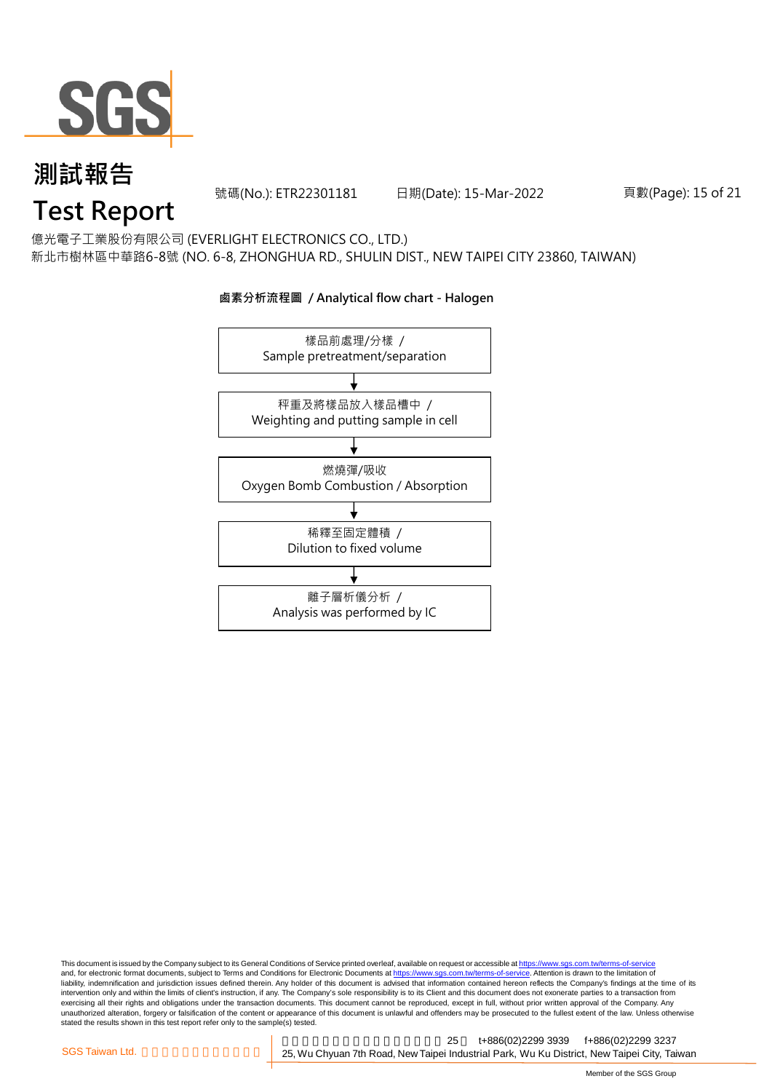

號碼(No.): ETR22301181 日期(Date): 15-Mar-2022 頁數(Page): 15 of 21

## **Test Report**

億光電子工業股份有限公司 (EVERLIGHT ELECTRONICS CO., LTD.) 新北市樹林區中華路6-8號 (NO. 6-8, ZHONGHUA RD., SHULIN DIST., NEW TAIPEI CITY 23860, TAIWAN)

## 樣品前處理/分樣 / Sample pretreatment/separation 秤重及將樣品放入樣品槽中 / Weighting and putting sample in cell 燃燒彈/吸收 Oxygen Bomb Combustion / Absorption 離子層析儀分析 / Analysis was performed by IC 稀釋至固定體積 / Dilution to fixed volume

**鹵素分析流程圖 / Analytical flow chart - Halogen**

This document is issued by the Company subject to its General Conditions of Service printed overleaf, available on request or accessible at <u>https://www.sgs.com.tw/terms-of-service</u><br>and, for electronic format documents, su liability, indemnification and jurisdiction issues defined therein. Any holder of this document is advised that information contained hereon reflects the Company's findings at the time of its intervention only and within the limits of client's instruction, if any. The Company's sole responsibility is to its Client and this document does not exonerate parties to a transaction from exercising all their rights and obligations under the transaction documents. This document cannot be reproduced, except in full, without prior written approval of the Company. Any<br>unauthorized alteration, forgery or falsif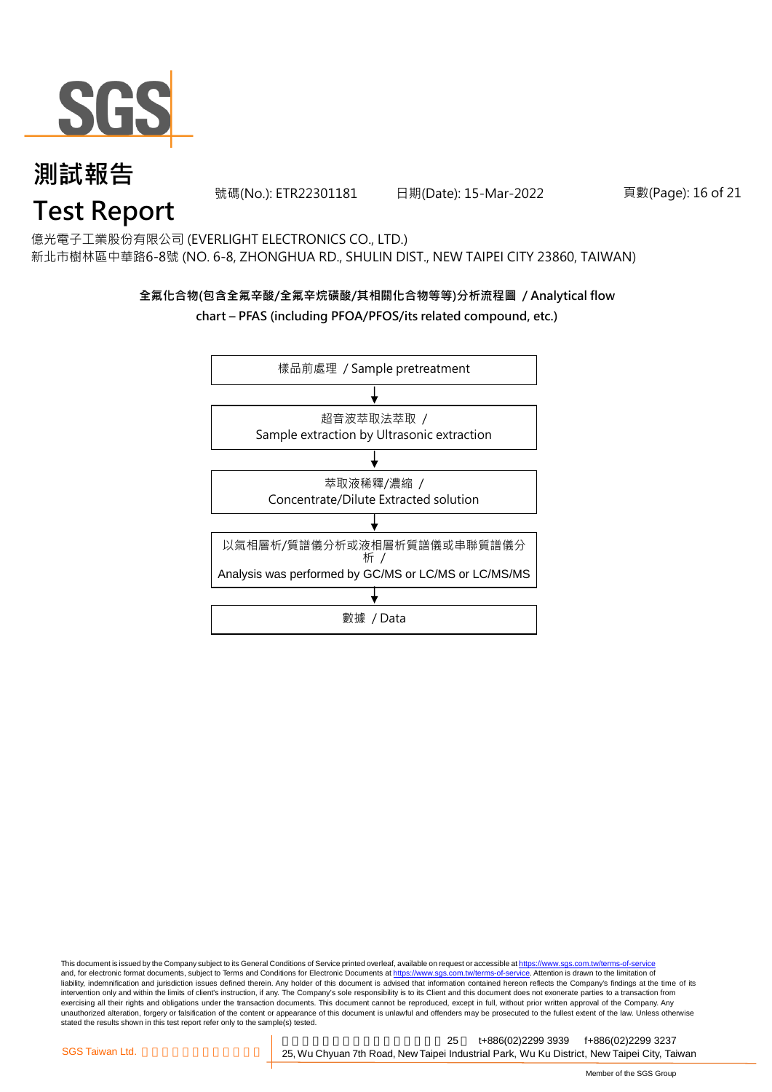

號碼(No.): ETR22301181 日期(Date): 15-Mar-2022 頁數(Page): 16 of 21

## **Test Report**

億光電子工業股份有限公司 (EVERLIGHT ELECTRONICS CO., LTD.) 新北市樹林區中華路6-8號 (NO. 6-8, ZHONGHUA RD., SHULIN DIST., NEW TAIPEI CITY 23860, TAIWAN)

### **全氟化合物(包含全氟辛酸/全氟辛烷磺酸/其相關化合物等等)分析流程圖 / Analytical flow**

#### **chart – PFAS (including PFOA/PFOS/its related compound, etc.)**



This document is issued by the Company subject to its General Conditions of Service printed overleaf, available on request or accessible at https://www.sgs.com.tw/terms-of-service and, for electronic format documents, subject to Terms and Conditions for Electronic Documents at https://www.sgs.com.tw/terms-of-service. Attention is drawn to the limitation of liability, indemnification and jurisdiction issues defined therein. Any holder of this document is advised that information contained hereon reflects the Company's findings at the time of its intervention only and within the limits of client's instruction, if any. The Company's sole responsibility is to its Client and this document does not exonerate parties to a transaction from exercising all their rights and obligations under the transaction documents. This document cannot be reproduced, except in full, without prior written approval of the Company. Any<br>unauthorized alteration, forgery or falsif stated the results shown in this test report refer only to the sample(s) tested.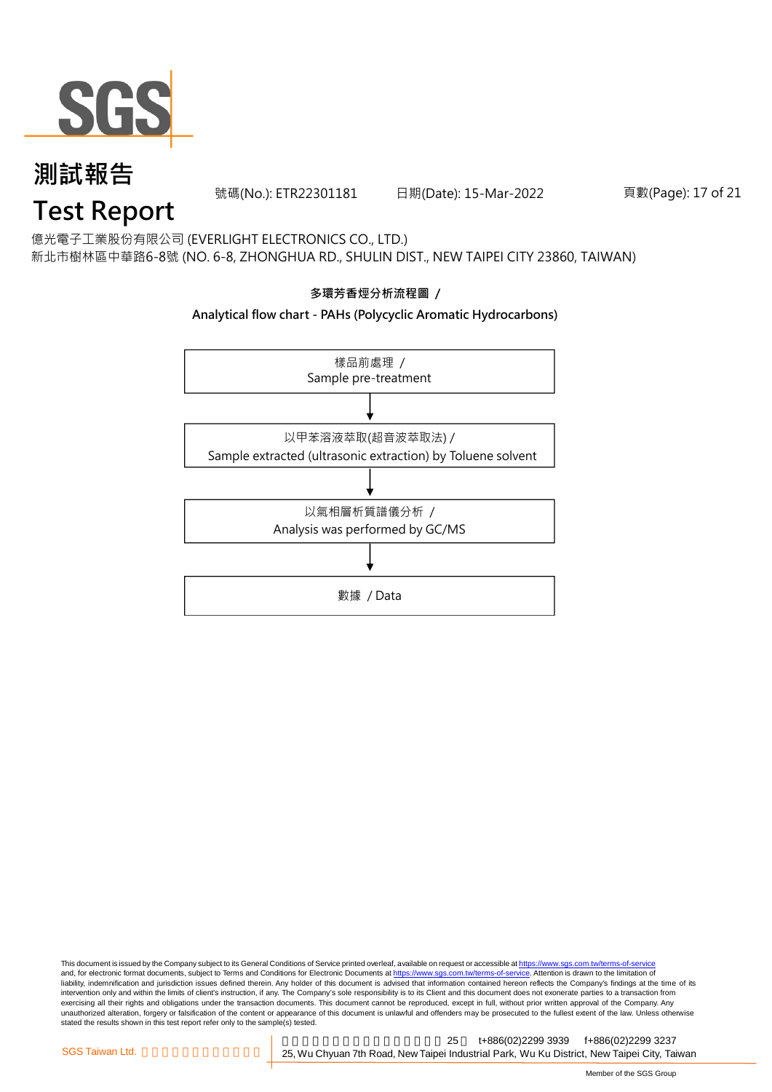

號碼(No.): ETR22301181 日期(Date): 15-Mar-2022 頁數(Page): 17 of 21

## **Test Report**

億光電子工業股份有限公司 (EVERLIGHT ELECTRONICS CO., LTD.) 新北市樹林區中華路6-8號 (NO. 6-8, ZHONGHUA RD., SHULIN DIST., NEW TAIPEI CITY 23860, TAIWAN)

### **多環芳香烴分析流程圖 /**

#### **Analytical flow chart - PAHs (Polycyclic Aromatic Hydrocarbons)**



This document is issued by the Company subject to its General Conditions of Service printed overleaf, available on request or accessible at <u>https://www.sgs.com.tw/terms-of-service</u><br>and, for electronic format documents, su liability, indemnification and jurisdiction issues defined therein. Any holder of this document is advised that information contained hereon reflects the Company's findings at the time of its intervention only and within the limits of client's instruction, if any. The Company's sole responsibility is to its Client and this document does not exonerate parties to a transaction from exercising all their rights and obligations under the transaction documents. This document cannot be reproduced, except in full, without prior written approval of the Company. Any<br>unauthorized alteration, forgery or falsif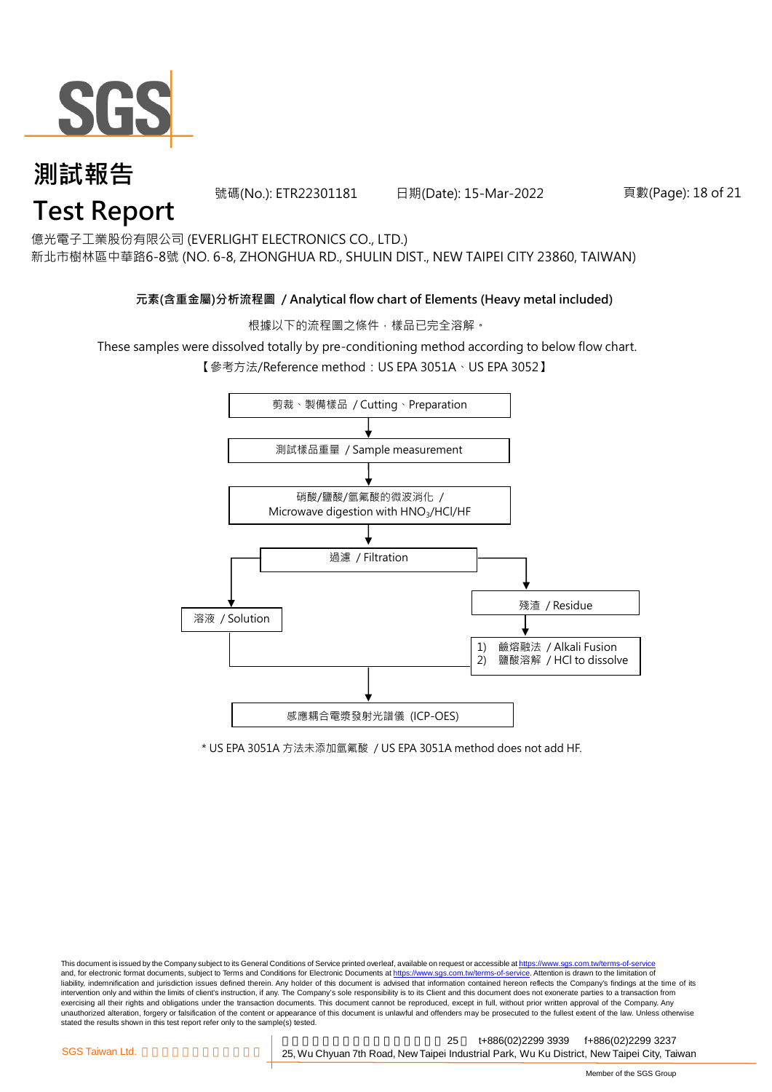

號碼(No.): ETR22301181 日期(Date): 15-Mar-2022 頁數(Page): 18 of 21

億光電子工業股份有限公司 (EVERLIGHT ELECTRONICS CO., LTD.)

新北市樹林區中華路6-8號 (NO. 6-8, ZHONGHUA RD., SHULIN DIST., NEW TAIPEI CITY 23860, TAIWAN)

#### **元素(含重金屬)分析流程圖 / Analytical flow chart of Elements (Heavy metal included)**

根據以下的流程圖之條件,樣品已完全溶解。

These samples were dissolved totally by pre-conditioning method according to below flow chart.

【參考方法/Reference method: US EPA 3051A、US EPA 3052】



\* US EPA 3051A 方法未添加氫氟酸 / US EPA 3051A method does not add HF.

This document is issued by the Company subject to its General Conditions of Service printed overleaf, available on request or accessible at https://www.sgs.com.tw/terms-of-service and, for electronic format documents, subject to Terms and Conditions for Electronic Documents at https://www.sgs.com.tw/terms-of-service. Attention is drawn to the limitation of liability, indemnification and jurisdiction issues defined therein. Any holder of this document is advised that information contained hereon reflects the Company's findings at the time of its intervention only and within the limits of client's instruction, if any. The Company's sole responsibility is to its Client and this document does not exonerate parties to a transaction from exercising all their rights and obligations under the transaction documents. This document cannot be reproduced, except in full, without prior written approval of the Company. Any<br>unauthorized alteration, forgery or falsif stated the results shown in this test report refer only to the sample(s) tested.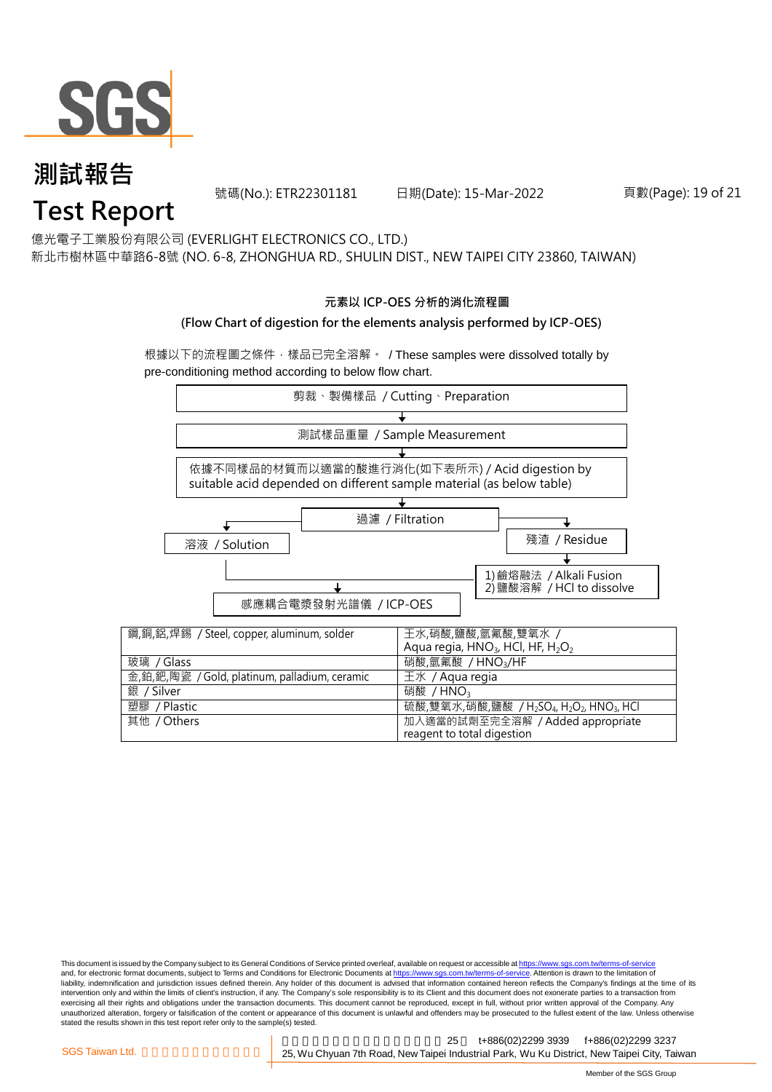

號碼(No.): ETR22301181 日期(Date): 15-Mar-2022 頁數(Page): 19 of 21

億光電子工業股份有限公司 (EVERLIGHT ELECTRONICS CO., LTD.)

新北市樹林區中華路6-8號 (NO. 6-8, ZHONGHUA RD., SHULIN DIST., NEW TAIPEI CITY 23860, TAIWAN)

#### **元素以 ICP-OES 分析的消化流程圖**

#### **(Flow Chart of digestion for the elements analysis performed by ICP-OES)**

根據以下的流程圖之條件,樣品已完全溶解。 / These samples were dissolved totally by pre-conditioning method according to below flow chart.



This document is issued by the Company subject to its General Conditions of Service printed overleaf, available on request or accessible at https://www.sgs.com.tw/terms-of-service and, for electronic format documents, subject to Terms and Conditions for Electronic Documents at https://www.sgs.com.tw/terms-of-service. Attention is drawn to the limitation of liability, indemnification and jurisdiction issues defined therein. Any holder of this document is advised that information contained hereon reflects the Company's findings at the time of its intervention only and within the limits of client's instruction, if any. The Company's sole responsibility is to its Client and this document does not exonerate parties to a transaction from exercising all their rights and obligations under the transaction documents. This document cannot be reproduced, except in full, without prior written approval of the Company. Any<br>unauthorized alteration, forgery or falsif stated the results shown in this test report refer only to the sample(s) tested.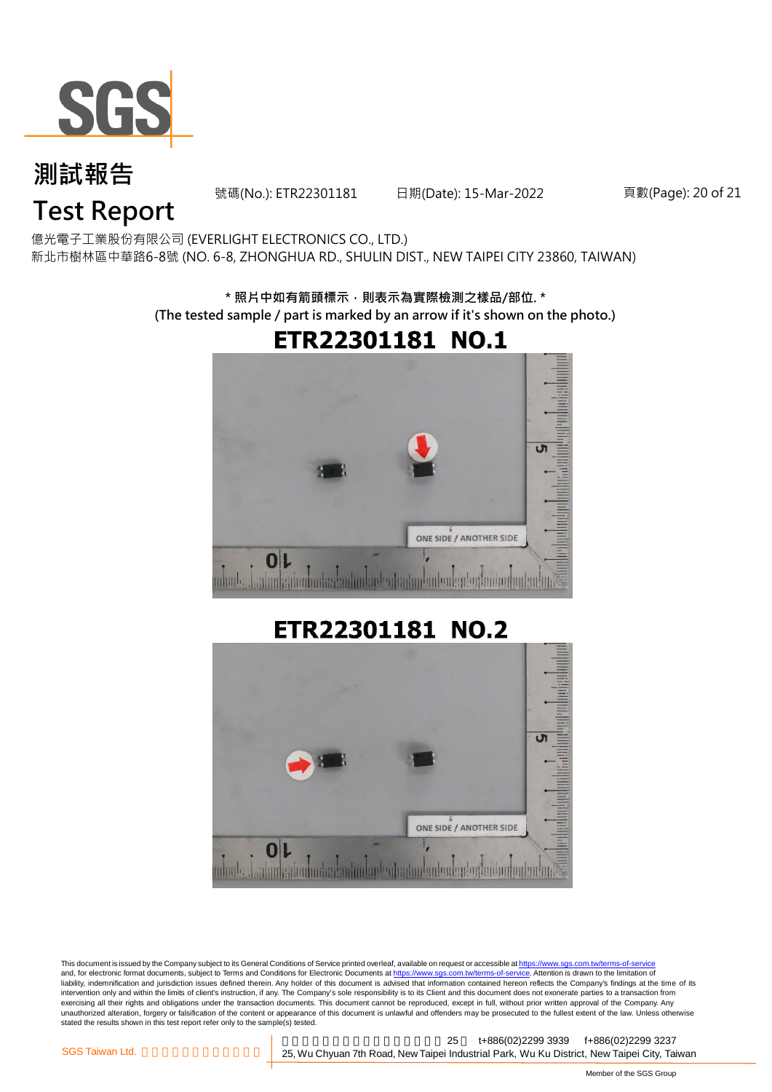

號碼(No.): ETR22301181 日期(Date): 15-Mar-2022 頁數(Page): 20 of 21

## **Test Report**

億光電子工業股份有限公司 (EVERLIGHT ELECTRONICS CO., LTD.) 新北市樹林區中華路6-8號 (NO. 6-8, ZHONGHUA RD., SHULIN DIST., NEW TAIPEI CITY 23860, TAIWAN)

> **\* 照片中如有箭頭標示,則表示為實際檢測之樣品/部位. \* (The tested sample / part is marked by an arrow if it's shown on the photo.)**



## ETR22301181 NO.2



This document is issued by the Company subject to its General Conditions of Service printed overleaf, available on request or accessible at https://www.sgs.com.tw/terms-of-service and, for electronic format documents, subject to Terms and Conditions for Electronic Documents at https://www.sgs.com.tw/terms-of-service. Attention is drawn to the limitation of liability, indemnification and jurisdiction issues defined therein. Any holder of this document is advised that information contained hereon reflects the Company's findings at the time of its intervention only and within the limits of client's instruction, if any. The Company's sole responsibility is to its Client and this document does not exonerate parties to a transaction from exercising all their rights and obligations under the transaction documents. This document cannot be reproduced, except in full, without prior written approval of the Company. Any<br>unauthorized alteration, forgery or falsif stated the results shown in this test report refer only to the sample(s) tested.